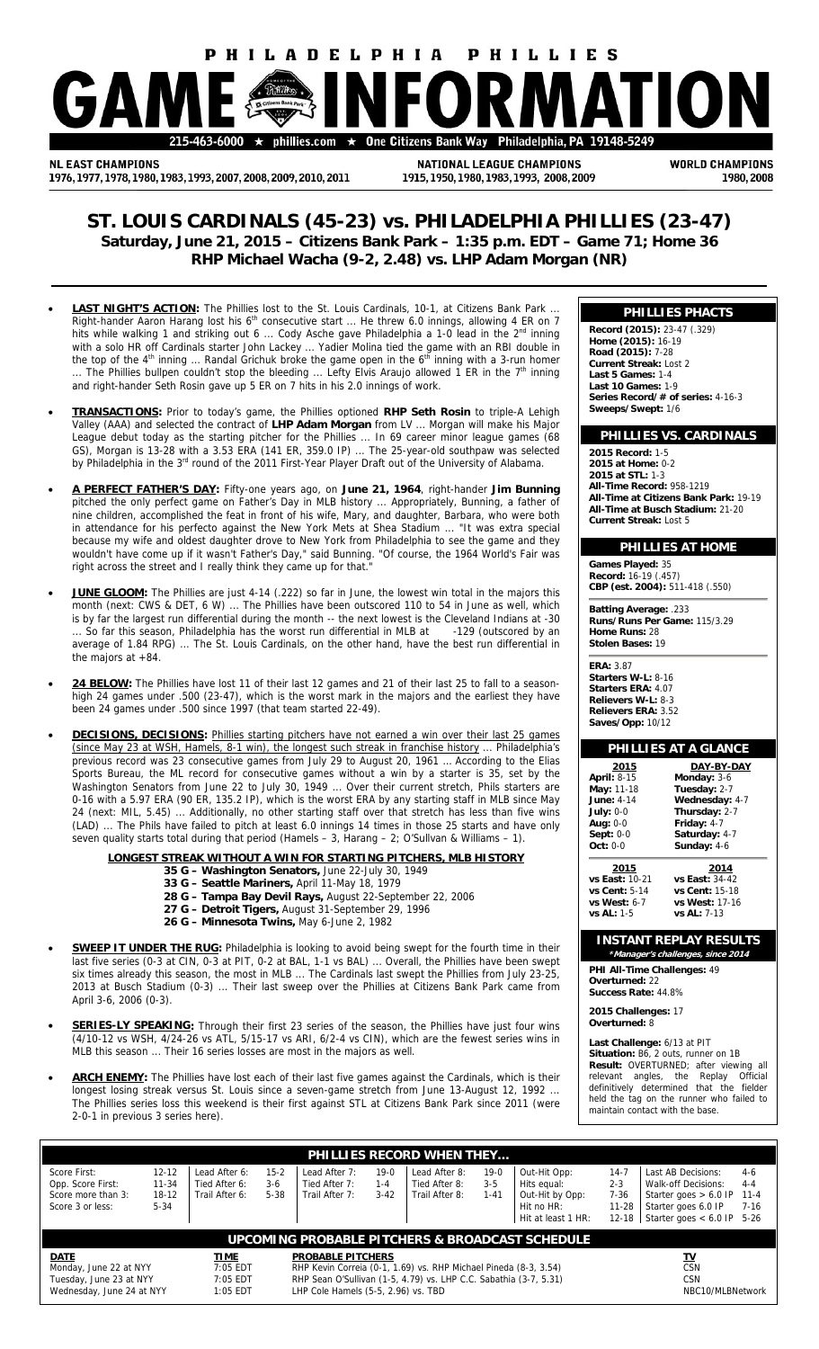# **HILADELPHIA PHILLIES** nhillies.com

**NL EAST CHAMPIONS** 1976, 1977, 1978, 1980, 1983, 1993, 2007, 2008, 2009, 2010, 2011

NATIONAL LEAGUE CHAMPIONS 1915, 1950, 1980, 1983, 1993, 2008, 2009 **WORLD CHAMPIONS** 1980.2008

# **ST. LOUIS CARDINALS (45-23) vs. PHILADELPHIA PHILLIES (23-47) Saturday, June 21, 2015 – Citizens Bank Park – 1:35 p.m. EDT – Game 71; Home 36 RHP Michael Wacha (9-2, 2.48) vs. LHP Adam Morgan (NR)**

- **LAST NIGHT'S ACTION:** The Phillies lost to the St. Louis Cardinals, 10-1, at Citizens Bank Park ... Right-hander Aaron Harang lost his  $6<sup>th</sup>$  consecutive start ... He threw 6.0 innings, allowing 4 ER on 7 hits while walking 1 and striking out 6 ... Cody Asche gave Philadelphia a 1-0 lead in the 2<sup>nd</sup> inning with a solo HR off Cardinals starter John Lackey ... Yadier Molina tied the game with an RBI double in the top of the  $4<sup>th</sup>$  inning ... Randal Grichuk broke the game open in the  $6<sup>th</sup>$  inning with a 3-run homer ... The Phillies bullpen couldn't stop the bleeding ... Lefty Elvis Araujo allowed 1 ER in the 7<sup>th</sup> inning and right-hander Seth Rosin gave up 5 ER on 7 hits in his 2.0 innings of work.
- **TRANSACTIONS:** Prior to today's game, the Phillies optioned **RHP Seth Rosin** to triple-A Lehigh Valley (AAA) and selected the contract of **LHP Adam Morgan** from LV ... Morgan will make his Major League debut today as the starting pitcher for the Phillies ... In 69 career minor league games (68 GS), Morgan is 13-28 with a 3.53 ERA (141 ER, 359.0 IP) ... The 25-year-old southpaw was selected by Philadelphia in the 3rd round of the 2011 First-Year Player Draft out of the University of Alabama.
- **A PERFECT FATHER'S DAY:** Fifty-one years ago, on **June 21, 1964**, right-hander **Jim Bunning** pitched the only perfect game on Father's Day in MLB history ... Appropriately, Bunning, a father of nine children, accomplished the feat in front of his wife, Mary, and daughter, Barbara, who were both in attendance for his perfecto against the New York Mets at Shea Stadium ... "It was extra special because my wife and oldest daughter drove to New York from Philadelphia to see the game and they wouldn't have come up if it wasn't Father's Day," said Bunning. "Of course, the 1964 World's Fair was right across the street and I really think they came up for that.
- JUNE GLOOM: The Phillies are just 4-14 (.222) so far in June, the lowest win total in the majors this month (next: CWS & DET, 6 W) ... The Phillies have been outscored 110 to 54 in June as well, which is by far the largest run differential during the month -- the next lowest is the Cleveland Indians at -30 .. So far this season, Philadelphia has the worst run differential in MLB at -129 (outscored by an average of 1.84 RPG) ... The St. Louis Cardinals, on the other hand, have the best run differential in the majors at +84.
- **24 BELOW:** The Phillies have lost 11 of their last 12 games and 21 of their last 25 to fall to a seasonhigh 24 games under .500 (23-47), which is the worst mark in the majors and the earliest they have been 24 games under .500 since 1997 (that team started 22-49).
- **DECISIONS, DECISIONS:** Phillies starting pitchers have not earned a win over their last 25 games (since May 23 at WSH, Hamels, 8-1 win), the longest such streak in franchise history ... Philadelphia's previous record was 23 consecutive games from July 29 to August 20, 1961 … According to the Elias Sports Bureau, the ML record for consecutive games without a win by a starter is 35, set by the Washington Senators from June 22 to July 30, 1949 ... Over their current stretch, Phils starters are 0-16 with a 5.97 ERA (90 ER, 135.2 IP), which is the worst ERA by any starting staff in MLB since May 24 (next: MIL, 5.45) ... Additionally, no other starting staff over that stretch has less than five wins (LAD) ... The Phils have failed to pitch at least 6.0 innings 14 times in those 25 starts and have only seven quality starts total during that period (Hamels – 3, Harang – 2; O'Sullvan & Williams – 1).

**LONGEST STREAK WITHOUT A WIN FOR STARTING PITCHERS, MLB HISTORY**

- **35 G Washington Senators,** June 22-July 30, 1949
- **33 G Seattle Mariners,** April 11-May 18, 1979
- **28 G Tampa Bay Devil Rays,** August 22-September 22, 2006
- **27 G Detroit Tigers,** August 31-September 29, 1996
- **26 G Minnesota Twins,** May 6-June 2, 1982
- **SWEEP IT UNDER THE RUG:** Philadelphia is looking to avoid being swept for the fourth time in their last five series (0-3 at CIN, 0-3 at PIT, 0-2 at BAL, 1-1 vs BAL) ... Overall, the Phillies have been swept six times already this season, the most in MLB ... The Cardinals last swept the Phillies from July 23-25, 2013 at Busch Stadium (0-3) ... Their last sweep over the Phillies at Citizens Bank Park came from April 3-6, 2006 (0-3).
- **SERIES-LY SPEAKING:** Through their first 23 series of the season, the Phillies have just four wins (4/10-12 vs WSH, 4/24-26 vs ATL, 5/15-17 vs ARI, 6/2-4 vs CIN), which are the fewest series wins in MLB this season ... Their 16 series losses are most in the majors as well.
- ARCH ENEMY: The Phillies have lost each of their last five games against the Cardinals, which is their longest losing streak versus St. Louis since a seven-game stretch from June 13-August 12, 1992 ... The Phillies series loss this weekend is their first against STL at Citizens Bank Park since 2011 (were 2-0-1 in previous 3 series here).

| <b>PHILLIES RECORD WHEN THEY</b>                                            |                                             |                                                  |                               |                                                                   |                             |                                                  |                               |                                                                                      |                                                       |                                                                                                                             |                                          |  |
|-----------------------------------------------------------------------------|---------------------------------------------|--------------------------------------------------|-------------------------------|-------------------------------------------------------------------|-----------------------------|--------------------------------------------------|-------------------------------|--------------------------------------------------------------------------------------|-------------------------------------------------------|-----------------------------------------------------------------------------------------------------------------------------|------------------------------------------|--|
| Score First:<br>Opp. Score First:<br>Score more than 3:<br>Score 3 or less: | $12 - 12$<br>$11 - 34$<br>18-12<br>$5 - 34$ | Lead After 6:<br>Tied After 6:<br>Trail After 6: | $15 - 2$<br>$3-6$<br>$5 - 38$ | Lead After 7:<br>Tied After 7:<br>Trail After 7:                  | $19-0$<br>$1 - 4$<br>$3-42$ | Lead After 8:<br>Tied After 8:<br>Trail After 8: | $19-0$<br>$3 - 5$<br>$1 - 41$ | Out-Hit Opp:<br>Hits equal:<br>Out-Hit by Opp:<br>Hit no $HR:$<br>Hit at least 1 HR: | $14 - 7$<br>$2 - 3$<br>7-36<br>$11 - 28$<br>$12 - 18$ | Last AB Decisions:<br>Walk-off Decisions:<br>Starter goes $> 6.0$ IP<br>Starter goes 6.0 IP<br>Starter goes $< 6.0$ IP 5-26 | $4-6$<br>$4 - 4$<br>$11 - 4$<br>$7 - 16$ |  |
| UPCOMING PROBABLE PITCHERS & BROADCAST SCHEDULE                             |                                             |                                                  |                               |                                                                   |                             |                                                  |                               |                                                                                      |                                                       |                                                                                                                             |                                          |  |
| <b>TIME</b><br><b>DATE</b>                                                  |                                             |                                                  |                               | <b>PROBABLE PITCHERS</b>                                          |                             | <u>TV</u>                                        |                               |                                                                                      |                                                       |                                                                                                                             |                                          |  |
| Monday, June 22 at NYY                                                      |                                             | $7:05$ EDT                                       |                               | RHP Kevin Correia (0-1, 1.69) vs. RHP Michael Pineda (8-3, 3.54)  |                             |                                                  |                               |                                                                                      |                                                       | <b>CSN</b>                                                                                                                  |                                          |  |
| Tuesday, June 23 at NYY                                                     |                                             | 7:05 EDT                                         |                               | RHP Sean O'Sullivan (1-5, 4.79) vs. LHP C.C. Sabathia (3-7, 5.31) |                             |                                                  |                               | <b>CSN</b>                                                                           |                                                       |                                                                                                                             |                                          |  |
| Wednesday, June 24 at NYY                                                   |                                             | 1:05 EDT                                         |                               | LHP Cole Hamels (5-5, 2.96) vs. TBD                               |                             | NBC10/MLBNetwork                                 |                               |                                                                                      |                                                       |                                                                                                                             |                                          |  |

# **PHILLIES PHACTS**

**Record (2015):** 23-47 (.329) **Home (2015):** 16-19 **Road (2015):** 7-28 **Current Streak:** Lost 2 **Last 5 Games:** 1-4 **Last 10 Games:** 1-9 **Series Record/# of series:** 4-16-3 **Sweeps/Swept:** 1/6

# **PHILLIES VS. CARDINALS**

**2015 Record:** 1-5 **2015 at Home:** 0-2 **2015 at STL:** 1-3 **All-Time Record:** 958-1219 **All-Time at Citizens Bank Park:** 19-19 **All-Time at Busch Stadium:** 21-20 **Current Streak:** Lost 5

# **PHILLIES AT HOME**

**Games Played: 35<br>Record: 16-19 (.457) Record:** 16 **CBP (est. 2004):** 511-418 (.550)

**Batting Average:** .233 **Runs/Runs Per Game:** 115/3.29 **Home Runs:** 28 **Stolen Bases:** 19

**ERA:** 3.87 **Starters W-L:** 8-16 **Starters ERA:** 4.07 **Relievers W-L:** 8-3 **Relievers ERA:** 3.52 **Saves/Opp:** 10/12

# **PHILLIES AT A GLANCE**

| 2015               | DAY-BY-DAY     |
|--------------------|----------------|
| <b>April: 8-15</b> | Monday: 3-6    |
| May: 11-18         | Tuesday: 2-7   |
| <b>June: 4-14</b>  | Wednesday: 4-7 |
| July: $0-0$        | Thursday: 2-7  |
| Aug: 0-0           | Friday: 4-7    |
| Sept: 0-0          | Saturday: 4-7  |
| Oct: 0-0           | Sunday: 4-6    |

**2015 2014**<br> **vs East:** 10-21 **vs East:** 34-4;<br> **vs Cent:** 5-14 **vs Cent:** 15-1 **vs East:** 10-21 **vs East:** 34-42 **vs Cent:** 5-14 **vs Cent:** 15-18 **vs West:** 6-7 **vs West:** 17-16 **vs AL:** 1-5 **vs AL:** 7-13

# **INSTANT REPLAY RESULTS**

**\*Manager's challenges, since 2014 PHI All-Time Challenges:** 49 **Overturned:** 22 **Success Rate:** 44.8%

**2015 Challenges:** 17 **Overturned:** 8

**Last Challenge:** 6/13 at PIT **Situation:** B6, 2 outs, runner on 1B **Result:** OVERTURNED; after viewing all relevant angles, the Replay Official definitively determined that the fielder held the tag on the runner who failed to maintain contact with the base.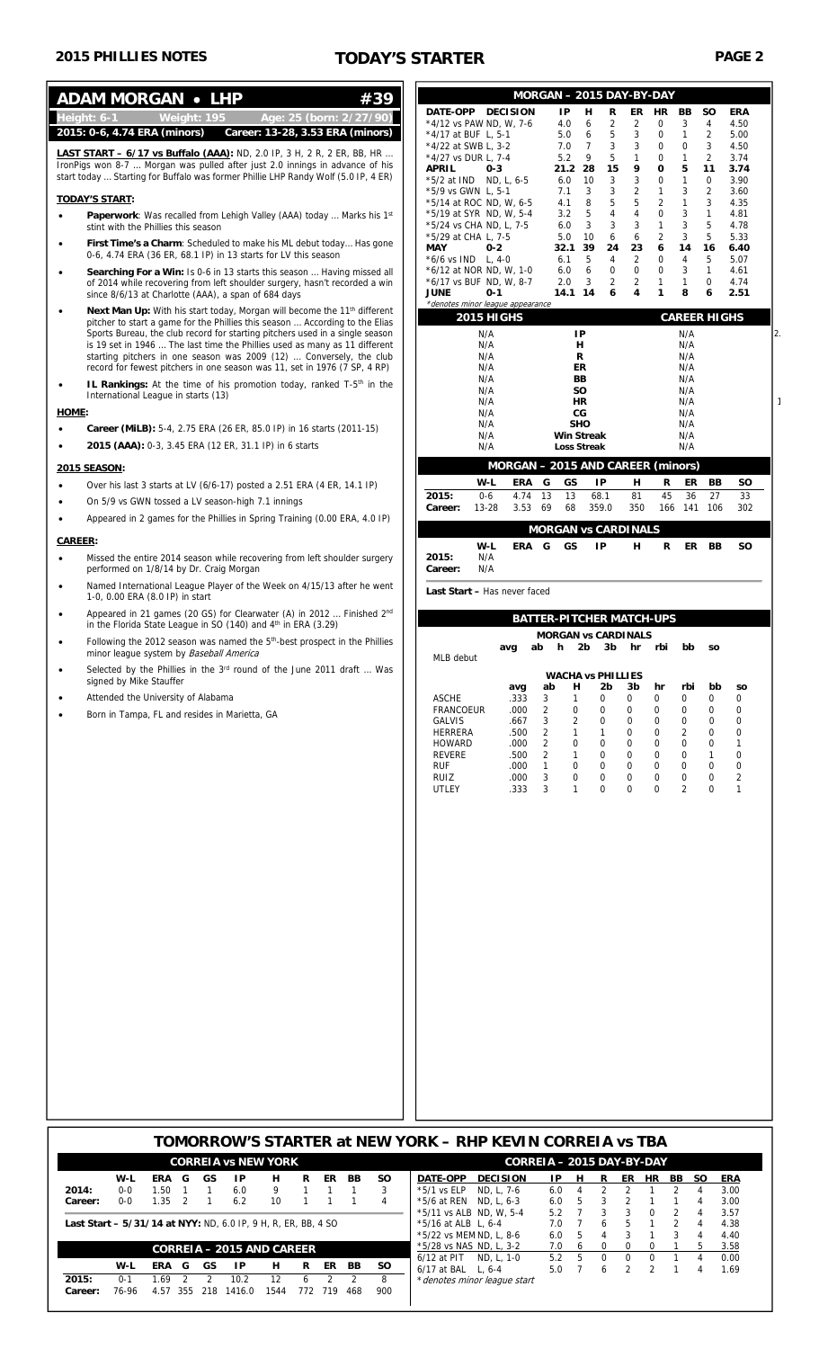|           | <b>ADAM MORGAN • LHP</b><br>#39                                                                                                                                                                                                                                                                                                                                                                           |                          |                                                                            |                               |                   |                                 | MORGAN - 2015 DAY-BY-DAY                                      |                                    |                                    |                                          |                                  |                                |
|-----------|-----------------------------------------------------------------------------------------------------------------------------------------------------------------------------------------------------------------------------------------------------------------------------------------------------------------------------------------------------------------------------------------------------------|--------------------------|----------------------------------------------------------------------------|-------------------------------|-------------------|---------------------------------|---------------------------------------------------------------|------------------------------------|------------------------------------|------------------------------------------|----------------------------------|--------------------------------|
|           | Height: 6-1<br>Weight: 195<br>Age: 25 (born: 2/27/90)                                                                                                                                                                                                                                                                                                                                                     |                          | DATE-OPP DECISION                                                          |                               |                   | IP                              | н<br>R<br>$\overline{2}$<br>6                                 | ER                                 | HR                                 | BB<br>3                                  | <b>SO</b>                        | <b>ERA</b><br>4.50             |
|           | 2015: 0-6, 4.74 ERA (minors)<br>Career: 13-28, 3.53 ERA (minors)                                                                                                                                                                                                                                                                                                                                          |                          | *4/12 vs PAW ND, W, 7-6<br>*4/17 at BUF L, 5-1                             |                               |                   | 4.0<br>5.0                      | 6<br>5                                                        | 2<br>3                             | 0<br>$\mathbf 0$                   | $\mathbf{1}$                             | 4<br>$\overline{2}$              | 5.00                           |
|           | <b>LAST START - 6/17 vs Buffalo (AAA):</b> ND, 2.0 IP, 3 H, 2 R, 2 ER, BB, HR<br>IronPigs won 8-7  Morgan was pulled after just 2.0 innings in advance of his                                                                                                                                                                                                                                             |                          | *4/22 at SWB L, 3-2<br>*4/27 vs DUR L, 7-4                                 |                               |                   | 7.0<br>5.2                      | 7<br>3<br>9<br>5                                              | 3<br>1                             | 0<br>0                             | 0<br>$\mathbf{1}$                        | 3<br>2                           | 4.50<br>3.74                   |
|           | start today  Starting for Buffalo was former Phillie LHP Randy Wolf (5.0 IP, 4 ER)                                                                                                                                                                                                                                                                                                                        | <b>APRIL</b>             | $0 - 3$<br>$*5/2$ at IND ND, L, 6-5                                        |                               |                   | 21.2 28<br>6.0                  | 15<br>10<br>3                                                 | 9<br>3                             | 0<br>0                             | 5<br>1                                   | 11<br>0                          | 3.74<br>3.90                   |
|           | <b>TODAY'S START:</b>                                                                                                                                                                                                                                                                                                                                                                                     |                          | *5/9 vs GWN L, 5-1<br>*5/14 at ROC ND, W, 6-5                              |                               |                   | 7.1<br>4.1                      | 3<br>3<br>8<br>5                                              | $\overline{2}$<br>5                | $\mathbf{1}$<br>$\overline{2}$     | 3<br>$\mathbf{1}$                        | $\overline{2}$<br>3              | 3.60<br>4.35                   |
|           | <b>Paperwork</b> : Was recalled from Lehigh Valley (AAA) today  Marks his 1 <sup>st</sup><br>stint with the Phillies this season                                                                                                                                                                                                                                                                          |                          | *5/19 at SYR ND, W, 5-4<br>*5/24 vs CHA ND, L, 7-5                         |                               |                   | 3.2<br>6.0                      | 5<br>4<br>3<br>3                                              | $\overline{4}$<br>3                | $\mathbf 0$<br>$\mathbf{1}$        | 3<br>3                                   | $\mathbf{1}$<br>5                | 4.81<br>4.78                   |
| $\bullet$ | First Time's a Charm: Scheduled to make his ML debut today Has gone<br>0-6, 4.74 ERA (36 ER, 68.1 IP) in 13 starts for LV this season                                                                                                                                                                                                                                                                     | MAY                      | *5/29 at CHA L, 7-5<br>$0 - 2$<br>$*6/6$ vs IND L, 4-0                     |                               |                   | 5.0<br>32.1<br>6.1              | 10<br>6<br>39<br>24<br>5<br>4                                 | 6<br>23<br>2                       | $\overline{2}$<br>6<br>$\mathbf 0$ | 3<br>14<br>$\overline{4}$                | 5<br>16<br>5                     | 5.33<br>6.40<br>5.07           |
| ٠         | Searching For a Win: Is 0-6 in 13 starts this season  Having missed all<br>of 2014 while recovering from left shoulder surgery, hasn't recorded a win<br>since 8/6/13 at Charlotte (AAA), a span of 684 days                                                                                                                                                                                              | <b>JUNE</b>              | *6/12 at NOR ND, W, 1-0<br>*6/17 vs BUF ND, W, 8-7<br>$0 - 1$              |                               |                   | 6.0<br>2.0<br>14.1 14           | 6<br>$\mathbf 0$<br>3<br>$\overline{2}$<br>6                  | $\mathbf 0$<br>$\overline{2}$<br>4 | $\mathbf 0$<br>$\mathbf{1}$<br>1   | 3<br>$\mathbf{1}$<br>8                   | $\mathbf{1}$<br>$\mathbf 0$<br>6 | 4.61<br>4.74<br>2.51           |
| $\bullet$ | Next Man Up: With his start today, Morgan will become the 11 <sup>th</sup> different<br>pitcher to start a game for the Phillies this season  According to the Elias<br>Sports Bureau, the club record for starting pitchers used in a single season<br>is 19 set in 1946  The last time the Phillies used as many as 11 different<br>starting pitchers in one season was 2009 (12)  Conversely, the club |                          | *denotes minor league appearance<br><b>2015 HIGHS</b><br>N/A<br>N/A<br>N/A |                               |                   | IP<br>н<br>R                    |                                                               |                                    |                                    | <b>CAREER HIGHS</b><br>N/A<br>N/A<br>N/A |                                  |                                |
| $\bullet$ | record for fewest pitchers in one season was 11, set in 1976 (7 SP, 4 RP)<br>IL Rankings: At the time of his promotion today, ranked T-5 <sup>th</sup> in the                                                                                                                                                                                                                                             |                          | N/A<br>N/A<br>N/A                                                          |                               |                   | ER<br>BB<br>SO.                 |                                                               |                                    |                                    | N/A<br>N/A<br>N/A                        |                                  |                                |
| HOME:     | International League in starts (13)                                                                                                                                                                                                                                                                                                                                                                       |                          | N/A<br>N/A                                                                 |                               |                   | <b>HR</b><br>СG                 |                                                               |                                    |                                    | N/A<br>N/A                               |                                  |                                |
|           | Career (MiLB): 5-4, 2.75 ERA (26 ER, 85.0 IP) in 16 starts (2011-15)                                                                                                                                                                                                                                                                                                                                      |                          | N/A<br>N/A                                                                 |                               |                   | <b>SHO</b><br><b>Win Streak</b> |                                                               |                                    |                                    | N/A<br>N/A                               |                                  |                                |
|           | 2015 (AAA): 0-3, 3.45 ERA (12 ER, 31.1 IP) in 6 starts                                                                                                                                                                                                                                                                                                                                                    |                          | N/A                                                                        |                               |                   | <b>Loss Streak</b>              |                                                               |                                    |                                    | N/A                                      |                                  |                                |
|           | <b>2015 SEASON:</b>                                                                                                                                                                                                                                                                                                                                                                                       |                          |                                                                            |                               |                   |                                 | <b>MORGAN - 2015 AND CAREER (minors)</b>                      |                                    |                                    |                                          |                                  |                                |
|           | Over his last 3 starts at LV (6/6-17) posted a 2.51 ERA (4 ER, 14.1 IP)                                                                                                                                                                                                                                                                                                                                   | 2015:                    | W-L<br>$0-6$                                                               | 4.74                          | ERA G<br>13       | GS<br>13                        | IP<br>68.1                                                    | н<br>81                            | R<br>45                            | ER<br>36                                 | BB<br>27                         | <b>SO</b><br>33                |
|           | On 5/9 vs GWN tossed a LV season-high 7.1 innings                                                                                                                                                                                                                                                                                                                                                         | Career:                  | 13-28                                                                      |                               | 3.53 69           | 68                              | 359.0                                                         | 350                                | 166                                |                                          | 141 106                          | 302                            |
|           | Appeared in 2 games for the Phillies in Spring Training (0.00 ERA, 4.0 IP)                                                                                                                                                                                                                                                                                                                                |                          |                                                                            |                               |                   |                                 | <b>MORGAN vs CARDINALS</b>                                    |                                    |                                    |                                          |                                  |                                |
|           | <b>CAREER:</b><br>Missed the entire 2014 season while recovering from left shoulder surgery<br>performed on 1/8/14 by Dr. Craig Morgan                                                                                                                                                                                                                                                                    | 2015:<br>Career:         | W-L<br>N/A<br>N/A                                                          |                               |                   | ERA G GS                        | IP                                                            | H                                  | $\mathbf R$                        |                                          | ER BB                            | <b>SO</b>                      |
|           | Named International League Player of the Week on 4/15/13 after he went                                                                                                                                                                                                                                                                                                                                    |                          | Last Start - Has never faced                                               |                               |                   |                                 |                                                               |                                    |                                    |                                          |                                  |                                |
|           | 1-0, 0.00 ERA (8.0 IP) in start<br>Appeared in 21 games (20 GS) for Clearwater (A) in 2012  Finished 2nd                                                                                                                                                                                                                                                                                                  |                          |                                                                            |                               |                   |                                 |                                                               |                                    |                                    |                                          |                                  |                                |
|           | in the Florida State League in SO (140) and 4 <sup>th</sup> in ERA (3.29)                                                                                                                                                                                                                                                                                                                                 |                          |                                                                            |                               |                   |                                 | <b>BATTER-PITCHER MATCH-UPS</b><br><b>MORGAN vs CARDINALS</b> |                                    |                                    |                                          |                                  |                                |
|           | Following the 2012 season was named the 5 <sup>th</sup> -best prospect in the Phillies<br>minor league system by Baseball America<br>Selected by the Phillies in the 3rd round of the June 2011 draft  Was                                                                                                                                                                                                | MLB debut                |                                                                            | avg                           | ab                | 2b<br>h.                        |                                                               | 3b hr rbi bb                       |                                    |                                          | <b>SO</b>                        |                                |
|           | signed by Mike Stauffer                                                                                                                                                                                                                                                                                                                                                                                   |                          |                                                                            | avg                           | ab                | н                               | <b>WACHA vs PHILLIES</b><br>2b                                | 3b                                 | hr                                 | rbi                                      | bb                               | SO                             |
|           | Attended the University of Alabama<br>Born in Tampa, FL and resides in Marietta, GA                                                                                                                                                                                                                                                                                                                       | <b>ASCHE</b>             | <b>FRANCOEUR</b>                                                           | .333<br>.000                  | 3<br>2            | $\mathbf{1}$<br>0               | 0<br>0                                                        | 0<br>0                             | 0<br>0                             | 0<br>0                                   | 0<br>0                           | 0<br>0                         |
|           |                                                                                                                                                                                                                                                                                                                                                                                                           |                          |                                                                            | .667                          | 3                 | $\overline{2}$                  | 0                                                             |                                    |                                    |                                          | 0                                | 0                              |
|           |                                                                                                                                                                                                                                                                                                                                                                                                           | <b>GALVIS</b><br>HERRERA |                                                                            |                               |                   |                                 |                                                               | 0<br>0                             | 0<br>0                             | 0                                        |                                  |                                |
|           |                                                                                                                                                                                                                                                                                                                                                                                                           | <b>HOWARD</b>            |                                                                            | .500<br>.000                  | 2<br>2            | 1<br>0                          | $\mathbf{1}$<br>0                                             | $\mathbf 0$                        | 0                                  | 2<br>0                                   | 0<br>0                           | 0<br>$\mathbf{1}$              |
|           |                                                                                                                                                                                                                                                                                                                                                                                                           | REVERE<br><b>RUF</b>     |                                                                            | .500<br>.000                  | 2<br>$\mathbf{1}$ | $\mathbf{1}$<br>0               | 0<br>0                                                        | 0<br>$\mathbf 0$                   | 0<br>0                             | 0<br>0                                   | $\mathbf{1}$<br>$\mathbf 0$      | 0<br>$\mathbf 0$               |
|           |                                                                                                                                                                                                                                                                                                                                                                                                           | RUIZ<br><b>UTLEY</b>     |                                                                            | .000<br>.333                  | 3<br>3            | 0<br>$\mathbf{1}$               | 0<br>$\mathbf 0$                                              | 0<br>$\mathbf 0$                   | 0<br>$\mathbf 0$                   | 0<br>$\overline{2}$                      | 0<br>$\mathbf 0$                 | $\overline{2}$<br>$\mathbf{1}$ |
|           |                                                                                                                                                                                                                                                                                                                                                                                                           |                          |                                                                            |                               |                   |                                 |                                                               |                                    |                                    |                                          |                                  |                                |
|           |                                                                                                                                                                                                                                                                                                                                                                                                           |                          |                                                                            |                               |                   |                                 |                                                               |                                    |                                    |                                          |                                  |                                |
|           |                                                                                                                                                                                                                                                                                                                                                                                                           |                          |                                                                            |                               |                   |                                 |                                                               |                                    |                                    |                                          |                                  |                                |
|           |                                                                                                                                                                                                                                                                                                                                                                                                           |                          |                                                                            |                               |                   |                                 |                                                               |                                    |                                    |                                          |                                  |                                |
|           |                                                                                                                                                                                                                                                                                                                                                                                                           |                          |                                                                            |                               |                   |                                 |                                                               |                                    |                                    |                                          |                                  |                                |
|           |                                                                                                                                                                                                                                                                                                                                                                                                           |                          |                                                                            |                               |                   |                                 |                                                               |                                    |                                    |                                          |                                  |                                |
|           |                                                                                                                                                                                                                                                                                                                                                                                                           |                          |                                                                            |                               |                   |                                 |                                                               |                                    |                                    |                                          |                                  |                                |
|           |                                                                                                                                                                                                                                                                                                                                                                                                           |                          |                                                                            |                               |                   |                                 |                                                               |                                    |                                    |                                          |                                  |                                |
|           |                                                                                                                                                                                                                                                                                                                                                                                                           |                          |                                                                            |                               |                   |                                 |                                                               |                                    |                                    |                                          |                                  |                                |
|           |                                                                                                                                                                                                                                                                                                                                                                                                           |                          |                                                                            |                               |                   |                                 |                                                               |                                    |                                    |                                          |                                  |                                |
|           |                                                                                                                                                                                                                                                                                                                                                                                                           |                          |                                                                            |                               |                   |                                 |                                                               |                                    |                                    |                                          |                                  |                                |
|           |                                                                                                                                                                                                                                                                                                                                                                                                           |                          |                                                                            |                               |                   |                                 |                                                               |                                    |                                    |                                          |                                  |                                |
|           |                                                                                                                                                                                                                                                                                                                                                                                                           |                          |                                                                            |                               |                   |                                 |                                                               |                                    |                                    |                                          |                                  |                                |
|           |                                                                                                                                                                                                                                                                                                                                                                                                           |                          |                                                                            |                               |                   |                                 |                                                               |                                    |                                    |                                          |                                  |                                |
|           |                                                                                                                                                                                                                                                                                                                                                                                                           |                          |                                                                            |                               |                   |                                 |                                                               |                                    |                                    |                                          |                                  |                                |
|           |                                                                                                                                                                                                                                                                                                                                                                                                           |                          |                                                                            |                               |                   |                                 |                                                               |                                    |                                    |                                          |                                  |                                |
|           |                                                                                                                                                                                                                                                                                                                                                                                                           |                          |                                                                            |                               |                   |                                 |                                                               |                                    |                                    |                                          |                                  |                                |
|           | TOMORROW'S STARTER at NEW YORK - RHP KEVIN CORREIA vs TBA                                                                                                                                                                                                                                                                                                                                                 |                          |                                                                            |                               |                   |                                 |                                                               |                                    |                                    |                                          |                                  |                                |
| 2014:     | <b>CORREIA vs NEW YORK</b><br>ERA G<br>GS<br>IP<br>н<br>R<br>ER BB<br>$W-L$<br><b>SO</b><br>$0-0$<br>1.50<br>9<br>3<br>$\overline{1}$<br>$\mathbf{1}$<br>6.0<br>1<br>1                                                                                                                                                                                                                                    | DATE-OPP<br>*5/1 vs ELP  |                                                                            | <b>DECISION</b><br>ND, L, 7-6 |                   | IP.<br>н<br>6.0<br>4            | CORREIA - 2015 DAY-BY-DAY<br>R<br>2                           | ER<br>2                            | HR BB<br>1                         | SO.<br>2<br>4                            |                                  | <b>ERA</b><br>3.00             |

\*5/11 vs ALB ND, W, 5-4 5.2 7 3 3 0 2 4 3.57 \*5/16 at ALB L, 6-4 7.0 7 6 5 1 2 4 4.38 \*5/22 vs MEM ND, L, 8-6 6.0 5 4 3 1 3 4 4.40 \*5/28 vs NAS ND, L, 3-2 7.0 6 0 0 0 1 5 3.58 6/12 at PIT ND, L, 1-0 5.2 5 0 0 0 1 4 0.00 6/17 at BAL L, 6-4 5.0 7 6 2 2 1 4 1.69

\*denotes minor league start

**Last Start – 5/31/14 at NYY:** ND, 6.0 IP, 9 H, R, ER, BB, 4 SO

**CORREIA – 2015 AND CAREER W-L ERA G GS IP H R ER BB SO** 

**2015:** 0-1 1.69 2 2 10.2 12 6 2 2 8 **Career:** 76-96 4.57 355 218 1416.0 1544 772 719 468 900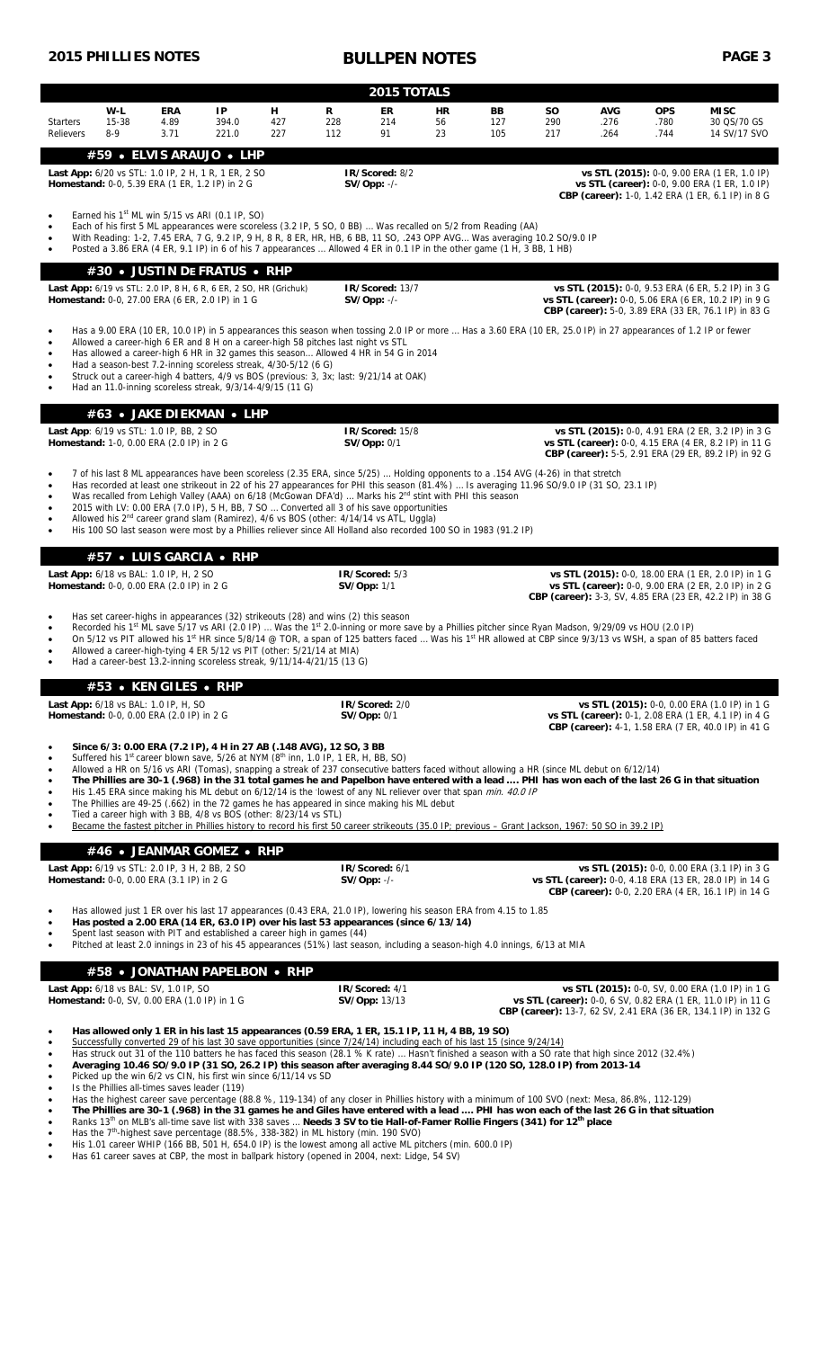|                                                                                                                                                                                                                                                                                                                                                                                                                                                                                                                                                                                                                                                                                                                                                                                                                 | <b>2015 PHILLIES NOTES</b>                                                                                                                                                                                                                                                                                                                                                                                                                                                                                                                                                                                     |                                                                                                                                                                                                                                            |                      |                  | PAGE 3<br><b>BULLPEN NOTES</b> |                                                                                               |                |                                                                                                                                                                                                                                                                                                                                                                                                                                                                                                                                                                                                                                                                                                                                                                                                                                                                 |                  |                            |                            |                                                                                                                                                                                    |  |  |
|-----------------------------------------------------------------------------------------------------------------------------------------------------------------------------------------------------------------------------------------------------------------------------------------------------------------------------------------------------------------------------------------------------------------------------------------------------------------------------------------------------------------------------------------------------------------------------------------------------------------------------------------------------------------------------------------------------------------------------------------------------------------------------------------------------------------|----------------------------------------------------------------------------------------------------------------------------------------------------------------------------------------------------------------------------------------------------------------------------------------------------------------------------------------------------------------------------------------------------------------------------------------------------------------------------------------------------------------------------------------------------------------------------------------------------------------|--------------------------------------------------------------------------------------------------------------------------------------------------------------------------------------------------------------------------------------------|----------------------|------------------|--------------------------------|-----------------------------------------------------------------------------------------------|----------------|-----------------------------------------------------------------------------------------------------------------------------------------------------------------------------------------------------------------------------------------------------------------------------------------------------------------------------------------------------------------------------------------------------------------------------------------------------------------------------------------------------------------------------------------------------------------------------------------------------------------------------------------------------------------------------------------------------------------------------------------------------------------------------------------------------------------------------------------------------------------|------------------|----------------------------|----------------------------|------------------------------------------------------------------------------------------------------------------------------------------------------------------------------------|--|--|
| 2015 TOTALS                                                                                                                                                                                                                                                                                                                                                                                                                                                                                                                                                                                                                                                                                                                                                                                                     |                                                                                                                                                                                                                                                                                                                                                                                                                                                                                                                                                                                                                |                                                                                                                                                                                                                                            |                      |                  |                                |                                                                                               |                |                                                                                                                                                                                                                                                                                                                                                                                                                                                                                                                                                                                                                                                                                                                                                                                                                                                                 |                  |                            |                            |                                                                                                                                                                                    |  |  |
| <b>Starters</b><br><b>Relievers</b>                                                                                                                                                                                                                                                                                                                                                                                                                                                                                                                                                                                                                                                                                                                                                                             | W-L<br>15-38<br>$8-9$                                                                                                                                                                                                                                                                                                                                                                                                                                                                                                                                                                                          | <b>ERA</b><br>4.89<br>3.71                                                                                                                                                                                                                 | IP<br>394.0<br>221.0 | н.<br>427<br>227 | R<br>228<br>112                | ER<br>214<br>91                                                                               | HR<br>56<br>23 | BB<br>127<br>105                                                                                                                                                                                                                                                                                                                                                                                                                                                                                                                                                                                                                                                                                                                                                                                                                                                | SΟ<br>290<br>217 | <b>AVG</b><br>.276<br>.264 | <b>OPS</b><br>.780<br>.744 | <b>MISC</b><br>30 QS/70 GS<br>14 SV/17 SVO                                                                                                                                         |  |  |
|                                                                                                                                                                                                                                                                                                                                                                                                                                                                                                                                                                                                                                                                                                                                                                                                                 |                                                                                                                                                                                                                                                                                                                                                                                                                                                                                                                                                                                                                | #59 • ELVIS ARAUJO • LHP<br>Last App: 6/20 vs STL: 1.0 IP, 2 H, 1 R, 1 ER, 2 SO<br>Homestand: 0-0, 5.39 ERA (1 ER, 1.2 IP) in 2 G                                                                                                          |                      |                  |                                | IR/Scored: 8/2<br>$SV/Opp: -/-$                                                               |                |                                                                                                                                                                                                                                                                                                                                                                                                                                                                                                                                                                                                                                                                                                                                                                                                                                                                 |                  |                            |                            | vs STL (2015): 0-0, 9.00 ERA (1 ER, 1.0 IP)<br>vs STL (career): 0-0, 9.00 ERA (1 ER, 1.0 IP)<br><b>CBP (career):</b> 1-0, 1.42 ERA (1 ER, 6.1 IP) in 8 G                           |  |  |
| Earned his $1st$ ML win 5/15 vs ARI (0.1 IP, SO)<br>$\bullet$<br>Each of his first 5 ML appearances were scoreless (3.2 IP, 5 SO, 0 BB)  Was recalled on 5/2 from Reading (AA)<br>With Reading: 1-2, 7.45 ERA, 7 G, 9.2 IP, 9 H, 8 R, 8 ER, HR, HB, 6 BB, 11 SO, .243 OPP AVG Was averaging 10.2 SO/9.0 IP<br>Posted a 3.86 ERA (4 ER, 9.1 IP) in 6 of his 7 appearances  Allowed 4 ER in 0.1 IP in the other game (1 H, 3 BB, 1 HB)<br>#30 • JUSTIN DE FRATUS • RHP                                                                                                                                                                                                                                                                                                                                            |                                                                                                                                                                                                                                                                                                                                                                                                                                                                                                                                                                                                                |                                                                                                                                                                                                                                            |                      |                  |                                |                                                                                               |                |                                                                                                                                                                                                                                                                                                                                                                                                                                                                                                                                                                                                                                                                                                                                                                                                                                                                 |                  |                            |                            |                                                                                                                                                                                    |  |  |
|                                                                                                                                                                                                                                                                                                                                                                                                                                                                                                                                                                                                                                                                                                                                                                                                                 |                                                                                                                                                                                                                                                                                                                                                                                                                                                                                                                                                                                                                | Last App: 6/19 vs STL: 2.0 IP, 8 H, 6 R, 6 ER, 2 SO, HR (Grichuk)<br>Homestand: 0-0, 27.00 ERA (6 ER, 2.0 IP) in 1 G                                                                                                                       |                      |                  |                                | IR/Scored: 13/7<br>$SV/Opp: -/-$                                                              |                |                                                                                                                                                                                                                                                                                                                                                                                                                                                                                                                                                                                                                                                                                                                                                                                                                                                                 |                  |                            |                            | vs STL (2015): 0-0, 9.53 ERA (6 ER, 5.2 IP) in 3 G<br>vs STL (career): 0-0, 5.06 ERA (6 ER, 10.2 IP) in 9 G<br>CBP (career): 5-0, 3.89 ERA (33 ER, 76.1 IP) in 83 G                |  |  |
| Has a 9.00 ERA (10 ER, 10.0 IP) in 5 appearances this season when tossing 2.0 IP or more  Has a 3.60 ERA (10 ER, 25.0 IP) in 27 appearances of 1.2 IP or fewer<br>$\bullet$<br>Allowed a career-high 6 ER and 8 H on a career-high 58 pitches last night vs STL<br>Has allowed a career-high 6 HR in 32 games this season Allowed 4 HR in 54 G in 2014<br>Had a season-best 7.2-inning scoreless streak, 4/30-5/12 (6 G)<br>Struck out a career-high 4 batters, 4/9 vs BOS (previous: 3, 3x; last: 9/21/14 at OAK)<br>Had an 11.0-inning scoreless streak, 9/3/14-4/9/15 (11 G)                                                                                                                                                                                                                                 |                                                                                                                                                                                                                                                                                                                                                                                                                                                                                                                                                                                                                |                                                                                                                                                                                                                                            |                      |                  |                                |                                                                                               |                |                                                                                                                                                                                                                                                                                                                                                                                                                                                                                                                                                                                                                                                                                                                                                                                                                                                                 |                  |                            |                            |                                                                                                                                                                                    |  |  |
|                                                                                                                                                                                                                                                                                                                                                                                                                                                                                                                                                                                                                                                                                                                                                                                                                 |                                                                                                                                                                                                                                                                                                                                                                                                                                                                                                                                                                                                                | #63 • JAKE DIEKMAN • LHP                                                                                                                                                                                                                   |                      |                  |                                |                                                                                               |                |                                                                                                                                                                                                                                                                                                                                                                                                                                                                                                                                                                                                                                                                                                                                                                                                                                                                 |                  |                            |                            |                                                                                                                                                                                    |  |  |
|                                                                                                                                                                                                                                                                                                                                                                                                                                                                                                                                                                                                                                                                                                                                                                                                                 |                                                                                                                                                                                                                                                                                                                                                                                                                                                                                                                                                                                                                | Last App: 6/19 vs STL: 1.0 IP, BB, 2 SO<br><b>Homestand:</b> 1-0, 0.00 ERA (2.0 IP) in 2 G                                                                                                                                                 |                      |                  |                                | IR/Scored: 15/8<br><b>SV/Opp: 0/1</b>                                                         |                |                                                                                                                                                                                                                                                                                                                                                                                                                                                                                                                                                                                                                                                                                                                                                                                                                                                                 |                  |                            |                            | vs STL (2015): 0-0, 4.91 ERA (2 ER, 3.2 IP) in 3 G<br>vs STL (career): 0-0, 4.15 ERA (4 ER, 8.2 IP) in 11 G                                                                        |  |  |
| CBP (career): 5-5, 2.91 ERA (29 ER, 89.2 IP) in 92 G<br>7 of his last 8 ML appearances have been scoreless (2.35 ERA, since 5/25)  Holding opponents to a .154 AVG (4-26) in that stretch<br>$\bullet$<br>Has recorded at least one strikeout in 22 of his 27 appearances for PHI this season (81.4%)  Is averaging 11.96 SO/9.0 IP (31 SO, 23.1 IP)<br>Was recalled from Lehigh Valley (AAA) on 6/18 (McGowan DFA'd)  Marks his 2 <sup>nd</sup> stint with PHI this season<br>$\bullet$<br>2015 with LV: 0.00 ERA (7.0 IP), 5 H, BB, 7 SO  Converted all 3 of his save opportunities<br>Allowed his 2 <sup>nd</sup> career grand slam (Ramirez), 4/6 vs BOS (other: 4/14/14 vs ATL, Uggla)<br>His 100 SO last season were most by a Phillies reliever since All Holland also recorded 100 SO in 1983 (91.2 IP) |                                                                                                                                                                                                                                                                                                                                                                                                                                                                                                                                                                                                                |                                                                                                                                                                                                                                            |                      |                  |                                |                                                                                               |                |                                                                                                                                                                                                                                                                                                                                                                                                                                                                                                                                                                                                                                                                                                                                                                                                                                                                 |                  |                            |                            |                                                                                                                                                                                    |  |  |
|                                                                                                                                                                                                                                                                                                                                                                                                                                                                                                                                                                                                                                                                                                                                                                                                                 |                                                                                                                                                                                                                                                                                                                                                                                                                                                                                                                                                                                                                | #57 • LUIS GARCIA • RHP                                                                                                                                                                                                                    |                      |                  |                                |                                                                                               |                |                                                                                                                                                                                                                                                                                                                                                                                                                                                                                                                                                                                                                                                                                                                                                                                                                                                                 |                  |                            |                            |                                                                                                                                                                                    |  |  |
|                                                                                                                                                                                                                                                                                                                                                                                                                                                                                                                                                                                                                                                                                                                                                                                                                 |                                                                                                                                                                                                                                                                                                                                                                                                                                                                                                                                                                                                                | Last App: 6/18 vs BAL: 1.0 IP, H, 2 SO<br><b>Homestand:</b> 0-0, 0.00 ERA (2.0 IP) in 2 G                                                                                                                                                  |                      |                  |                                | IR/Scored: 5/3<br><b>SV/Opp: 1/1</b>                                                          |                |                                                                                                                                                                                                                                                                                                                                                                                                                                                                                                                                                                                                                                                                                                                                                                                                                                                                 |                  |                            |                            | vs STL (2015): 0-0, 18.00 ERA (1 ER, 2.0 IP) in 1 G<br>vs STL (career): 0-0, 9.00 ERA (2 ER, 2.0 IP) in 2 G<br>CBP (career): 3-3, SV, 4.85 ERA (23 ER, 42.2 IP) in 38 G            |  |  |
|                                                                                                                                                                                                                                                                                                                                                                                                                                                                                                                                                                                                                                                                                                                                                                                                                 | Has set career-highs in appearances (32) strikeouts (28) and wins (2) this season<br>Recorded his 1 <sup>st</sup> ML save 5/17 vs ARI (2.0 IP)  Was the 1 <sup>st</sup> 2.0-inning or more save by a Phillies pitcher since Ryan Madson, 9/29/09 vs HOU (2.0 IP)<br>On 5/12 vs PIT allowed his 1 <sup>st</sup> HR since 5/8/14 @ TOR, a span of 125 batters faced  Was his 1 <sup>st</sup> HR allowed at CBP since 9/3/13 vs WSH, a span of 85 batters faced<br>Allowed a career-high-tying 4 ER 5/12 vs PIT (other: 5/21/14 at MIA)<br>Had a career-best 13.2-inning scoreless streak, 9/11/14-4/21/15 (13 G) |                                                                                                                                                                                                                                            |                      |                  |                                |                                                                                               |                |                                                                                                                                                                                                                                                                                                                                                                                                                                                                                                                                                                                                                                                                                                                                                                                                                                                                 |                  |                            |                            |                                                                                                                                                                                    |  |  |
|                                                                                                                                                                                                                                                                                                                                                                                                                                                                                                                                                                                                                                                                                                                                                                                                                 |                                                                                                                                                                                                                                                                                                                                                                                                                                                                                                                                                                                                                | #53 • KEN GILES • RHP                                                                                                                                                                                                                      |                      |                  |                                |                                                                                               |                |                                                                                                                                                                                                                                                                                                                                                                                                                                                                                                                                                                                                                                                                                                                                                                                                                                                                 |                  |                            |                            |                                                                                                                                                                                    |  |  |
|                                                                                                                                                                                                                                                                                                                                                                                                                                                                                                                                                                                                                                                                                                                                                                                                                 |                                                                                                                                                                                                                                                                                                                                                                                                                                                                                                                                                                                                                | <b>Last App:</b> 6/18 vs BAL: 1.0 IP, H, SO<br><b>Homestand:</b> 0-0, 0.00 ERA (2.0 IP) in 2 G                                                                                                                                             |                      |                  |                                | IR/Scored: 2/0<br>SV/Opp: 0/1                                                                 |                |                                                                                                                                                                                                                                                                                                                                                                                                                                                                                                                                                                                                                                                                                                                                                                                                                                                                 |                  |                            |                            | vs STL (2015): 0-0, 0.00 ERA (1.0 IP) in 1 G<br>vs STL (career): 0-1, 2.08 ERA (1 ER, 4.1 IP) in 4 G<br>CBP (career): 4-1, 1.58 ERA (7 ER, 40.0 IP) in 41 G                        |  |  |
| $\bullet$<br>٠<br>٠<br>$\bullet$                                                                                                                                                                                                                                                                                                                                                                                                                                                                                                                                                                                                                                                                                                                                                                                |                                                                                                                                                                                                                                                                                                                                                                                                                                                                                                                                                                                                                | Since 6/3: 0.00 ERA (7.2 IP), 4 H in 27 AB (.148 AVG), 12 SO, 3 BB<br>Suffered his 1 <sup>st</sup> career blown save, 5/26 at NYM $(8th$ inn, 1.0 IP, 1 ER, H, BB, SO)<br>Tied a career high with 3 BB, 4/8 vs BOS (other: 8/23/14 vs STL) |                      |                  |                                | The Phillies are 49-25 (.662) in the 72 games he has appeared in since making his ML debut    |                | Allowed a HR on 5/16 vs ARI (Tomas), snapping a streak of 237 consecutive batters faced without allowing a HR (since ML debut on 6/12/14)<br>His 1.45 ERA since making his ML debut on 6/12/14 is the lowest of any NL reliever over that span <i>min. 40.0 IP</i><br>Became the fastest pitcher in Phillies history to record his first 50 career strikeouts (35.0 IP; previous – Grant Jackson, 1967: 50 SO in 39.2 IP)                                                                                                                                                                                                                                                                                                                                                                                                                                       |                  |                            |                            | The Phillies are 30-1 (.968) in the 31 total games he and Papelbon have entered with a lead  PHI has won each of the last 26 G in that situation                                   |  |  |
|                                                                                                                                                                                                                                                                                                                                                                                                                                                                                                                                                                                                                                                                                                                                                                                                                 |                                                                                                                                                                                                                                                                                                                                                                                                                                                                                                                                                                                                                | #46 • JEANMAR GOMEZ • RHP                                                                                                                                                                                                                  |                      |                  |                                |                                                                                               |                |                                                                                                                                                                                                                                                                                                                                                                                                                                                                                                                                                                                                                                                                                                                                                                                                                                                                 |                  |                            |                            |                                                                                                                                                                                    |  |  |
|                                                                                                                                                                                                                                                                                                                                                                                                                                                                                                                                                                                                                                                                                                                                                                                                                 |                                                                                                                                                                                                                                                                                                                                                                                                                                                                                                                                                                                                                | <b>Last App:</b> 6/19 vs STL: 2.0 IP, 3 H, 2 BB, 2 SO<br><b>Homestand:</b> 0-0, 0.00 ERA (3.1 IP) in 2 G                                                                                                                                   |                      |                  |                                | IR/Scored: 6/1<br>$SV/Opp: -/-$                                                               |                |                                                                                                                                                                                                                                                                                                                                                                                                                                                                                                                                                                                                                                                                                                                                                                                                                                                                 |                  |                            |                            | vs STL (2015): 0-0, 0.00 ERA (3.1 IP) in 3 G<br>vs STL (career): 0-0, 4.18 ERA (13 ER, 28.0 IP) in 14 G<br>CBP (career): 0-0, 2.20 ERA (4 ER, 16.1 IP) in 14 G                     |  |  |
| $\bullet$                                                                                                                                                                                                                                                                                                                                                                                                                                                                                                                                                                                                                                                                                                                                                                                                       |                                                                                                                                                                                                                                                                                                                                                                                                                                                                                                                                                                                                                | Spent last season with PIT and established a career high in games (44)                                                                                                                                                                     |                      |                  |                                | Has posted a 2.00 ERA (14 ER, 63.0 IP) over his last 53 appearances (since 6/13/14)           |                | Has allowed just 1 ER over his last 17 appearances (0.43 ERA, 21.0 IP), lowering his season ERA from 4.15 to 1.85<br>Pitched at least 2.0 innings in 23 of his 45 appearances (51%) last season, including a season-high 4.0 innings, 6/13 at MIA                                                                                                                                                                                                                                                                                                                                                                                                                                                                                                                                                                                                               |                  |                            |                            |                                                                                                                                                                                    |  |  |
|                                                                                                                                                                                                                                                                                                                                                                                                                                                                                                                                                                                                                                                                                                                                                                                                                 |                                                                                                                                                                                                                                                                                                                                                                                                                                                                                                                                                                                                                | #58 • JONATHAN PAPELBON • RHP                                                                                                                                                                                                              |                      |                  |                                |                                                                                               |                |                                                                                                                                                                                                                                                                                                                                                                                                                                                                                                                                                                                                                                                                                                                                                                                                                                                                 |                  |                            |                            |                                                                                                                                                                                    |  |  |
|                                                                                                                                                                                                                                                                                                                                                                                                                                                                                                                                                                                                                                                                                                                                                                                                                 |                                                                                                                                                                                                                                                                                                                                                                                                                                                                                                                                                                                                                | <b>Last App:</b> 6/18 vs BAL: SV, 1.0 IP, SO<br>Homestand: 0-0, SV, 0.00 ERA (1.0 IP) in 1 G                                                                                                                                               |                      |                  |                                | IR/Scored: 4/1<br><b>SV/Opp: 13/13</b>                                                        |                |                                                                                                                                                                                                                                                                                                                                                                                                                                                                                                                                                                                                                                                                                                                                                                                                                                                                 |                  |                            |                            | vs STL (2015): 0-0, SV, 0.00 ERA (1.0 IP) in 1 G<br>vs STL (career): 0-0, 6 SV, 0.82 ERA (1 ER, 11.0 IP) in 11 G<br>CBP (career): 13-7, 62 SV, 2.41 ERA (36 ER, 134.1 IP) in 132 G |  |  |
| ٠<br>٠<br>٠<br>٠                                                                                                                                                                                                                                                                                                                                                                                                                                                                                                                                                                                                                                                                                                                                                                                                |                                                                                                                                                                                                                                                                                                                                                                                                                                                                                                                                                                                                                | Picked up the win 6/2 vs CIN, his first win since 6/11/14 vs SD<br>Is the Phillies all-times saves leader (119)                                                                                                                            |                      |                  |                                | Has allowed only 1 ER in his last 15 appearances (0.59 ERA, 1 ER, 15.1 IP, 11 H, 4 BB, 19 SO) |                | Successfully converted 29 of his last 30 save opportunities (since 7/24/14) including each of his last 15 (since 9/24/14)<br>Has struck out 31 of the 110 batters he has faced this season (28.1 % K rate)  Hasn't finished a season with a SO rate that high since 2012 (32.4%)<br>Averaging 10.46 SO/9.0 IP (31 SO, 26.2 IP) this season after averaging 8.44 SO/9.0 IP (120 SO, 128.0 IP) from 2013-14<br>Has the highest career save percentage (88.8 %, 119-134) of any closer in Phillies history with a minimum of 100 SVO (next: Mesa, 86.8%, 112-129)<br>The Phillies are 30-1 (.968) in the 31 games he and Giles have entered with a lead  PHI has won each of the last 26 G in that situation<br>Ranks 13 <sup>th</sup> on MLB's all-time save list with 338 saves  Needs 3 SV to tie Hall-of-Famer Rollie Fingers (341) for 12 <sup>th</sup> place |                  |                            |                            |                                                                                                                                                                                    |  |  |

Has the  $7<sup>th</sup>$ -highest save percentage (88.5%, 338-382) in ML history (min. 190 SVO)

His 1.01 career WHIP (166 BB, 501 H, 654.0 IP) is the lowest among all active ML pitchers (min. 600.0 IP)

Has 61 career saves at CBP, the most in ballpark history (opened in 2004, next: Lidge, 54 SV)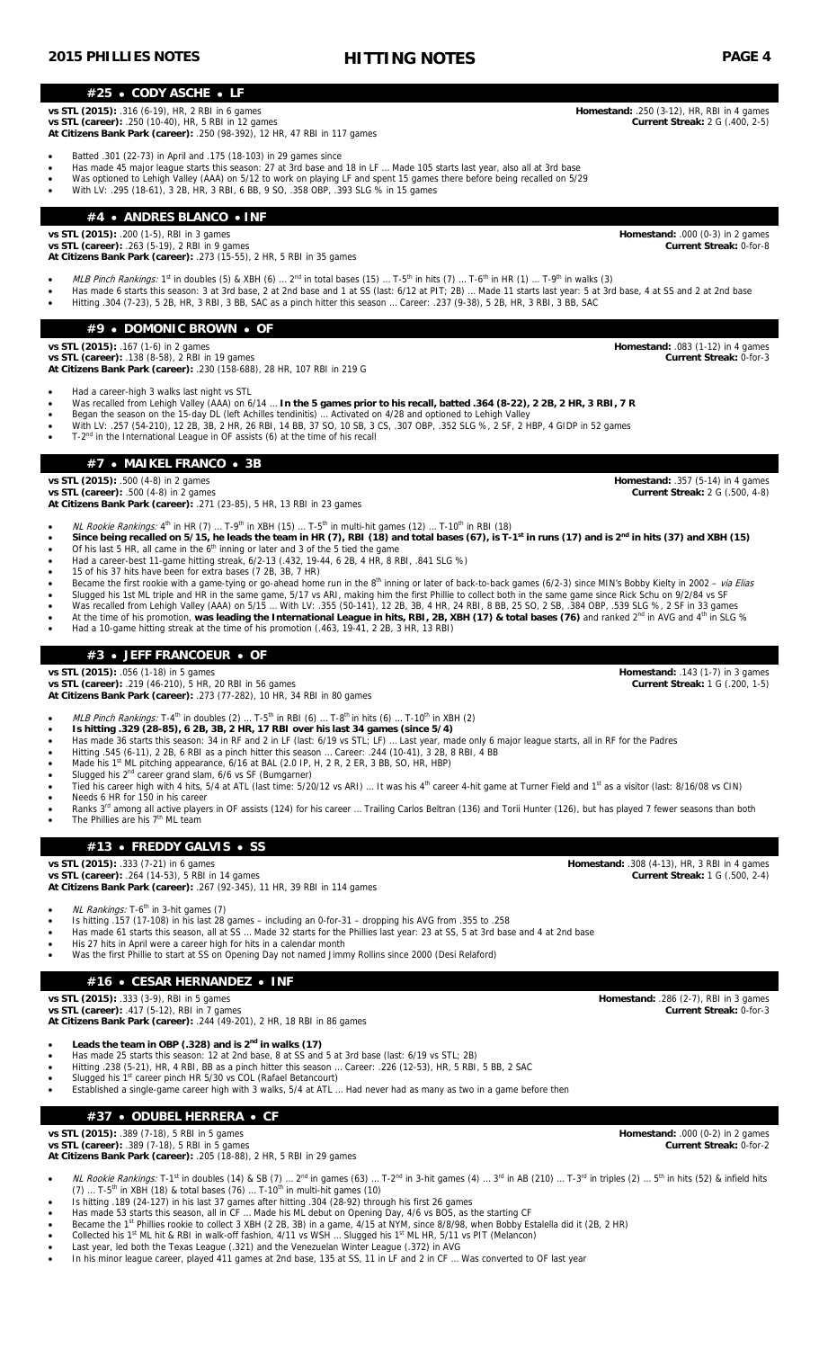### **#25 CODY ASCHE LF**

**vs STL (2015):** .316 (6-19), HR, 2 RBI in 6 games **Homestand:** .250 (3-12), HR, RBI in 4 games **vs STL (career):** .250 (10-40), HR, 5 RBI in 12 games **Current Streak:** 2 G (.400, 2-5) **At Citizens Bank Park (career):** .250 (98-392), 12 HR, 47 RBI in 117 games

Batted .301 (22-73) in April and .175 (18-103) in 29 games since

- Has made 45 major league starts this season: 27 at 3rd base and 18 in LF … Made 105 starts last year, also all at 3rd base
- Was optioned to Lehigh Valley (AAA) on 5/12 to work on playing LF and spent 15 games there before being recalled on 5/29
- With LV: .295 (18-61), 3 2B, HR, 3 RBI, 6 BB, 9 SO, .358 OBP, .393 SLG % in 15 games

# **#4 ANDRES BLANCO INF**

**vs STL (2015):** .200 (1-5), RBI in 3 games<br> **vs STL (career):** .263 (5-19). 2 RBI in 9 games **Homestand:** .000 (0-3) in 2 games **Current Streak:** 0-for-8

**vs STL (career):** .263 (5-19), 2 RBI in 9 games **At Citizens Bank Park (career):** .273 (15-55), 2 HR, 5 RBI in 35 games

- 
- MLB Pinch Rankings: 1<sup>st</sup> in doubles (5) & XBH (6) … 2<sup>nd</sup> in total bases (15) … T-5<sup>th</sup> in hits (7) … T-6<sup>th</sup> in HR (1) … T-9<sup>th</sup> in walks (3)
- Has made 6 starts this season: 3 at 3rd base, 2 at 2nd base and 1 at SS (last: 6/12 at PIT; 2B) … Made 11 starts last year: 5 at 3rd base, 4 at SS and 2 at 2nd base Hitting .304 (7-23), 5 2B, HR, 3 RBI, 3 BB, SAC as a pinch hitter this season … Career: .237 (9-38), 5 2B, HR, 3 RBI, 3 BB, SAC

### **#9 DOMONIC BROWN OF**

**vs STL (2015):** .167 (1-6) in 2 games **Homestand:** .083 (1-12) in 4 games

**vs STL (career):** .138 (8-58), 2 RBI in 19 games **Current Streak:** 0-for-3 **At Citizens Bank Park (career):** .230 (158-688), 28 HR, 107 RBI in 219 G

### Had a career-high 3 walks last night vs STL

- Was recalled from Lehigh Valley (AAA) on 6/14 … **In the 5 games prior to his recall, batted .364 (8-22), 2 2B, 2 HR, 3 RBI, 7 R**
- Began the season on the 15-day DL (left Achilles tendinitis) … Activated on 4/28 and optioned to Lehigh Valley
- Umin LV: .257 (54-210), 12 2B, 3B, 2 HR, 26 RBI, 14 BB, 37 SO, 10 SB, 3 CS, .307 OBP, .352 SLG %, 2 SF, 2 HBP, 4 GIDP in 52 games **The Set and State 15 and State 15 and State 1** and State 10 SB, 3 CS, .307 OBP, .352 SLG %,
- 

# **#7 MAIKEL FRANCO 3B**

**vs STL (2015):** .500 (4-8) in 2 games **Homestand:** .357 (5-14) in 4 games

**vs STL (career):** .500 (4-8) in 2 games **Current Streak:** 2 G (.500, 4-8) **At Citizens Bank Park (career):** .271 (23-85), 5 HR, 13 RBI in 23 games

- NL Rookie Rankings: 4<sup>th</sup> in HR (7) ... T-9<sup>th</sup> in XBH (15) ... T-5<sup>th</sup> in multi-hit games (12) ... T-10<sup>th</sup> in RBI (18)
- Since being recalled on 5/15, he leads the team in HR (7), RBI (18) and total bases (67), is T-1<sup>st</sup> in runs (17) and is 2<sup>nd</sup> in hits (37) and XBH (15) Of his last 5 HR, all came in the  $6<sup>th</sup>$  inning or later and 3 of the 5 tied the game
- $\bullet$  Had a career-best 11-game hitting streak, 6/2-13 (.432, 19-44, 6 2B, 4 HR, 8 RBI, .841 SLG %)
- 15 of his 37 hits have been for extra bases (7 2B, 3B, 7 HR)
- Became the first rookie with a game-tying or go-ahead home run in the 8<sup>th</sup> inning or later of back-to-back games (6/2-3) since MIN's Bobby Kielty in 2002 via Elias
- Slugged his 1st ML triple and HR in the same game, 5/17 vs ARI, making him the first Phillie to collect both in the same game since Rick Schu on 9/2/84 vs SF
- Was recalled from Lehigh Valley (AAA) on 5/15 ... With LV: .355 (50-141), 12 2B, 3B, 4 HR, 24 RBI, 8 BB, 25 SO, 2 SB, .384 OBP, .539 SLG %, 2 SF in 33 games<br>• At the time of his promotion, was leading the International
- Had a 10-game hitting streak at the time of his promotion (.463, 19-41, 2 2B, 3 HR, 13 RBI)

# **#3 JEFF FRANCOEUR OF**

**vs STL (2015):** .056 (1-18) in 5 games **Homestand:** .143 (1-7) in 3 games

**vs STL (career):** .219 (46-210), 5 HR, 20 RBI in 56 games **Current Streak:** 1 G (.200, 1-5) **At Citizens Bank Park (career):** .273 (77-282), 10 HR, 34 RBI in 80 games

- *MLB Pinch Rankings:* T-4<sup>th</sup> in doubles (2) … T-5<sup>th</sup> in RBI (6) … T-8<sup>th</sup> in hits (6) … T-10<sup>th</sup> in XBH (2)
- **Is hitting .329 (28-85), 6 2B, 3B, 2 HR, 17 RBI over his last 34 games (since 5/4)**
- Has made 36 starts this season: 34 in RF and 2 in LF (last: 6/19 vs STL; LF) … Last year, made only 6 major league starts, all in RF for the Padres
- Hitting .545 (6-11), 2 2B, 6 RBI as a pinch hitter this season … Career: .244 (10-41), 3 2B, 8 RBI, 4 BB
- Made his 1<sup>st</sup> ML pitching appearance,  $6/16$  at BAL (2.0 IP, H, 2 R, 2 ER, 3 BB, SO, HR, HBP)
- Slugged his 2<sup>nd</sup> career grand slam, 6/6 vs SF (Bumgarner)
- Tied his career high with 4 hits, 5/4 at ATL (last time: 5/20/12 vs ARI) ... It was his 4<sup>th</sup> career 4-hit game at Turner Field and 1<sup>st</sup> as a visitor (last: 8/16/08 vs CIN)
- Needs 6 HR for 150 in his career
- The Phillies are his 7<sup>th</sup> ML team

**vs STL (career):** .264 (14-53), 5 RBI in 14 games

**At Citizens Bank Park (career):** .267 (92-345), 11 HR, 39 RBI in 114 games

NL Rankings: T-6<sup>th</sup> in 3-hit games (7)

- Is hitting .157 (17-108) in his last 28 games including an 0-for-31 dropping his AVG from .355 to .258
- His 27 hits in April were a career high for hits in a calendar month
- Was the first Phillie to start at SS on Opening Day not named Jimmy Rollins since 2000 (Desi Relaford)

# **#16 CESAR HERNANDEZ INF**

**vs STL (career):** .417 (5-12), RBI in 7 games **Current Streak:** 0-for-3

**At Citizens Bank Park (career):** .244 (49-201), 2 HR, 18 RBI in 86 games

- **Leads the team in OBP (.328) and is 2nd in walks (17)**
- Has made 25 starts this season: 12 at 2nd base, 8 at SS and 5 at 3rd base (last: 6/19 vs STL; 2B)
- Hitting .238 (5-21), HR, 4 RBI, BB as a pinch hitter this season … Career: .226 (12-53), HR, 5 RBI, 5 BB, 2 SAC
- Slugged his 1<sup>st</sup> career pinch HR 5/30 vs COL (Rafael Betancourt)
- Established a single-game career high with 3 walks, 5/4 at ATL … Had never had as many as two in a game before then

# **#37 ODUBEL HERRERA CF**

# **vs STL (2015):** .389 (7-18), 5 RBI in 5 games<br> **vs STL (career):** .389 (7-18), 5 RBI in 5 games **Alternation** Streak: 0-for-2

**vs STL (career):** .389 (7-18), 5 RBI in 5 games **At Citizens Bank Park (career):** .205 (18-88), 2 HR, 5 RBI in 29 games

- *NL Rookie Rankings:* T-1<sup>st</sup> in doubles (14) & SB (7) … 2<sup>nd</sup> in games (63) … T-2<sup>nd</sup> in 3-hit games (4) … 3<sup>rd</sup> in AB (210) … T-3<sup>rd</sup> in triples (2) … 5<sup>th</sup> in hits (52) & infield hits<br>(7) … T-5<sup>th</sup> in XBH (18) & total b *NL Rookie Rankings:* T-1<sup>st</sup> in doubles (14) & SB (7) ...  $2^{nd}$  in games (63) ...<br>(7) ... T-5<sup>th</sup> in XBH (18) & total bases (76) ... T-10<sup>th</sup> in multi-hit games (10)
- Is hitting .189 (24-127) in his last 37 games after hitting .304 (28-92) through his first 26 games
- 
- A Has made 53 starts this season, all in CF ... Made his ML debut on Opening Day, 4/6 vs BOS, as the starting CF<br>A Became the 1<sup>st</sup> Phillies rookie to collect 3 XBH (2 2B, 3B) in a game, 4/15 at NYM, since 8/8/98, when Bob
- Collected his 1<sup>st</sup> ML hit & RBI in walk-off fashion, 4/11 vs WSH ... Slugged his 1<sup>st</sup> ML HR, 5/11 vs PIT (Melancon)
- Last year, led both the Texas League (.321) and the Venezuelan Winter League (.372) in AVG
- In his minor league career, played 411 games at 2nd base, 135 at SS, 11 in LF and 2 in CF … Was converted to OF last year

**vs STL (2015):** .333 (7-21) in 6 games **and the stand:** .308 (4-13), HR, 3 RBI in 4 games **vs STL (career):** .264 (14-53), 5 RBI in 14 games **and the stand:** .308 (4-13), HR, 3 RBI in 14 games **vs STL (career):** .264 (14-

- 
- Ranks 3<sup>rd</sup> among all active players in OF assists (124) for his career … Trailing Carlos Beltran (136) and Torii Hunter (126), but has played 7 fewer seasons than both

 **#13 FREDDY GALVIS SS** 

- Has made 61 starts this season, all at SS … Made 32 starts for the Phillies last year: 23 at SS, 5 at 3rd base and 4 at 2nd base
- 

**vs STL (2015):** .333 (3-9), RBI in 5 games **Homestand:** .286 (2-7), RBI in 3 games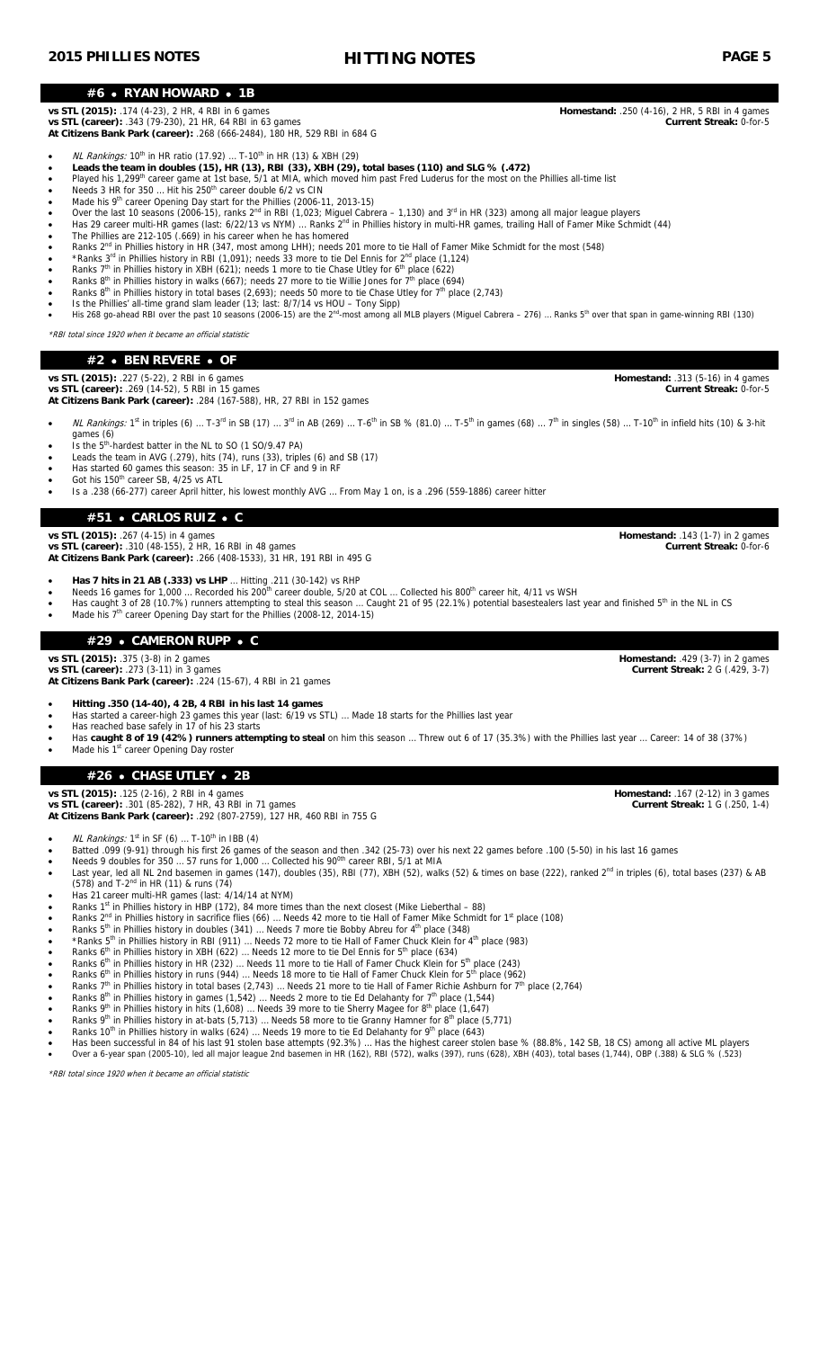### **#6 RYAN HOWARD 1B**

### **vs STL (2015):** .174 (4-23), 2 HR, 4 RBI in 6 games **Homestand:** .250 (4-16), 2 HR, 5 RBI in 4 games

**vs STL (career):** .343 (79-230), 21 HR, 64 RBI in 63 games **Current Streak:** 0-for-5 **At Citizens Bank Park (career):** .268 (666-2484), 180 HR, 529 RBI in 684 G

• *NL Rankings:* 10<sup>th</sup> in HR ratio (17.92) ... T-10<sup>th</sup> in HR (13) & XBH (29)

- **Leads the team in doubles (15), HR (13), RBI (33), XBH (29), total bases (110) and SLG % (.472)**
- Played his 1,299<sup>th</sup> career game at 1st base, 5/1 at MIA, which moved him past Fred Luderus for the most on the Phillies all-time list
- $\bullet$  Needs 3 HR for 350 ... Hit his 250<sup>th</sup> career double 6/2 vs CIN
- Made his 9<sup>th</sup> career Opening Day start for the Phillies (2006-11, 2013-15)
- Over the last 10 seasons (2006-15), ranks 2<sup>nd</sup> in RBI (1,023; Miguel Cabrera 1,130) and 3<sup>rd</sup> in HR (323) among all major league players
- Has 29 career multi-HR games (last: 6/22/13 vs NYM) ... Ranks 2<sup>nd</sup> in Phillies history in multi-HR games, trailing Hall of Famer Mike Schmidt (44)
- The Phillies are 212-105 (.669) in his career when he has homered Ranks 2<sup>nd</sup> in Phillies history in HR (347, most among LHH); needs 201 more to tie Hall of Famer Mike Schmidt for the most (548)
- \* Ranks 3<sup>rd</sup> in Phillies history in RBI (1,091); needs 33 more to tie Del Ennis for 2<sup>nd</sup> place (1,124)
- Ranks 7<sup>th</sup> in Phillies history in XBH (621); needs 1 more to tie Chase Utley for 6<sup>th</sup> place (622)
- Ranks 8<sup>th</sup> in Phillies history in walks (667); needs 27 more to tie Willie Jones for 7<sup>th</sup> place (694)
- Ranks 8<sup>th</sup> in Phillies history in total bases  $(2,693)$ ; needs 50 more to tie Chase Utley for 7<sup>th</sup> place  $(2,743)$
- 
- Is the Phillies' all-time grand slam leader (13; last: 8/7/14 vs HOU Tony Sipp)<br>• His 268 go-ahead RBI over the past 10 seasons (2006-15) are the 2<sup>nd</sup>-most among all MLB players (Miguel Cabrera 276) ... Ranks 5<sup>th</sup>
- \*RBI total since 1920 when it became an official statistic

# **#2 BEN REVERE OF**

### **vs STL (2015):** .227 (5-22), 2 RBI in 6 games **Homestand:** .313 (5-16) in 4 games

**vs STL (career):** .269 (14-52), 5 RBI in 15 games **Current Streak:** 0-for-5

**At Citizens Bank Park (career):** .284 (167-588), HR, 27 RBI in 152 games

- NL Rankings: 1<sup>st</sup> in triples (6) … T-3<sup>rd</sup> in SB (17) … 3<sup>rd</sup> in AB (269) … T-6<sup>th</sup> in SB % (81.0) … T-5<sup>th</sup> in games (68) … 7<sup>th</sup> in singles (58) … T-10<sup>th</sup> in infield hits (10) & 3-hit games (6)<br>
Is the 5<sup>th</sup>-hardest batter in the NL to SO (1 SO/9.47 PA)
- 
- Leads the team in AVG (.279), hits (74), runs (33), triples (6) and SB (17)
- Has started 60 games this season: 35 in LF, 17 in CF and 9 in RF Got his 150<sup>th</sup> career SB, 4/25 vs ATL
- Is a .238 (66-277) career April hitter, his lowest monthly AVG … From May 1 on, is a .296 (559-1886) career hitter

# **#51 CARLOS RUIZ C**

**vs STL (2015):** .267 (4-15) in 4 games **Homestand:** .143 (1-7) in 2 games

**vs STL (career):** .310 (48-155), 2 HR, 16 RBI in 48 games **Current Streak:** 0-for-6 **At Citizens Bank Park (career):** .266 (408-1533), 31 HR, 191 RBI in 495 G

- 
- **Has 7 hits in 21 AB (.333) vs LHP** ... Hitting .211 (30-142) vs RHP<br>• Needs 16 games for 1,000 ... Recorded his 200<sup>th</sup> career double, 5/20 at COL ... Collected his 800<sup>th</sup> career hit, 4/11 vs WSH
- Has caught 3 of 28 (10.7%) runners attempting to steal this season ... Caught 21 of 95 (22.1%) potential basestealers last year and finished  $5<sup>th</sup>$  in the NL in CS Made his 7<sup>th</sup> career Opening Day start for the Phillies (2008-12, 2014-15)
	- **#29 CAMERON RUPP C**

### **vs STL (2015):** .375 (3-8) in 2 games **Homestand:** .429 (3-7) in 2 games

**vs STL (career):** .273 (3-11) in 3 games **Current Streak:** 2 G (.429, 3-7) **At Citizens Bank Park (career):** .224 (15-67), 4 RBI in 21 games

- **Hitting .350 (14-40), 4 2B, 4 RBI in his last 14 games**
- Has started a career-high 23 games this year (last: 6/19 vs STL) … Made 18 starts for the Phillies last year
- Has reached base safely in 17 of his 23 starts
- Has **caught 8 of 19 (42%) runners attempting to steal** on him this season … Threw out 6 of 17 (35.3%) with the Phillies last year … Career: 14 of 38 (37%)
	- Made his 1<sup>st</sup> career Opening Day roster

# **#26 CHASE UTLEY 2B**

**vs STL (2015):** .125 (2-16), 2 RBI in 4 games **Homestand:** .167 (2-12) in 3 games

**vs STL (career):** .301 (85-282), 7 HR, 43 RBI in 71 games **Current Streak:** 1 G (.250, 1-4) **At Citizens Bank Park (career):** .292 (807-2759), 127 HR, 460 RBI in 755 G

- *NL Rankings:*  $1<sup>st</sup>$  in SF (6) ... T-10<sup>th</sup> in IBB (4)
- Batted .099 (9-91) through his first 26 games of the season and then .342 (25-73) over his next 22 games before .100 (5-50) in his last 16 games
- Needs 9 doubles for  $350...57$  runs for  $1,000...$  Collected his  $90<sup>0</sup>$  career RBI,  $5/1$  at MIA Last year, led all NL 2nd basemen in games (147), doubles (35), RBI (77), XBH (52), walks (52) & times on base (222), ranked  $2^{nd}$  in triples (6), total bases (237) & AB  $(578)$  and T-2<sup>nd</sup> in HR (11) & runs (74)
- Has 21 career multi-HR games (last: 4/14/14 at NYM)
- Ranks 1<sup>st</sup> in Phillies history in HBP (172), 84 more times than the next closest (Mike Lieberthal 88)
- **A** Ranks 2<sup>nd</sup> in Phillies history in sacrifice flies (66) ... Needs 42 more to tie Hall of Famer Mike Schmidt for 1<sup>st</sup> place (108)
- Ranks 5<sup>th</sup> in Phillies history in doubles (341) ... Needs 7 more tie Bobby Abreu for 4<sup>th</sup> place (348)
- \* Ranks 5<sup>th</sup> in Phillies history in RBI (911) ... Needs 72 more to tie Hall of Famer Chuck Klein for 4<sup>th</sup> place (983)
- Ranks 6<sup>th</sup> in Phillies history in XBH (622) ... Needs 12 more to tie Del Ennis for  $5^{th}$  place (634) Ranks 6<sup>th</sup> in Phillies history in HR (232) ... Needs 11 more to tie Hall of Famer Chuck Klein for 5<sup>th</sup> place (243)
- Ranks 6<sup>th</sup> in Phillies history in runs (944) ... Needs 18 more to tie Hall of Famer Chuck Klein for 5<sup>th</sup> place (962)
- **Allocat Find Phillies history in total bases (2,743)** ... Needs 21 more to tie Hall of Famer Richie Ashburn for 7<sup>th</sup> place (2,764)
- **Ranks 8<sup>th</sup> in Phillies history in games (1,542)** ... Needs 2 more to tie Ed Delahanty for  $7<sup>th</sup>$  place (1,544)
- Ranks 9<sup>th</sup> in Phillies history in hits (1,608) ... Needs 39 more to tie Sherry Magee for 8<sup>th</sup> place (1,647)
- Ranks 9<sup>th</sup> in Phillies history in at-bats (5,713) ... Needs 58 more to tie Granny Hamner for 8<sup>th</sup> place (5,771)
- Ranks 10<sup>th</sup> in Phillies history in walks (624) ... Needs 19 more to tie Ed Delahanty for 9<sup>th</sup> place (643)
- Has been successful in 84 of his last 91 stolen base attempts (92.3%) … Has the highest career stolen base % (88.8%, 142 SB, 18 CS) among all active ML players<br>• Over a 6-year span (2005-10), led all major league 2nd ba

\*RBI total since 1920 when it became an official statistic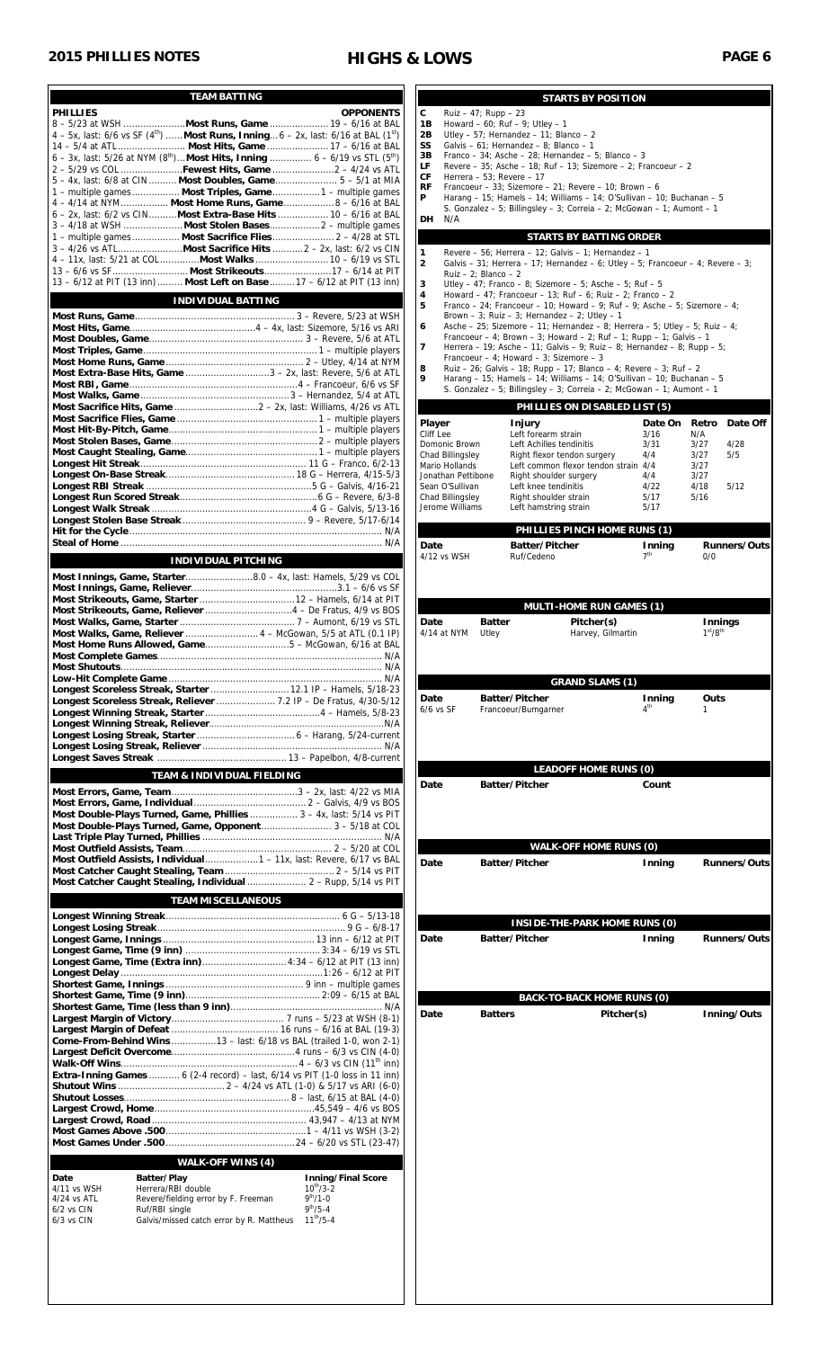# **2015 PHILLIES NOTES HIGHS & LOWS PAGE 6**

| <b>TEAM BATTING</b>                                                                                                                     |                                              |
|-----------------------------------------------------------------------------------------------------------------------------------------|----------------------------------------------|
| <b>PHILLIES</b>                                                                                                                         | <b>OPPONENTS</b>                             |
| $4 - 5x$ , last: 6/6 vs SF (4 <sup>th</sup> )  Most Runs, Inning $6 - 2x$ , last: 6/16 at BAL (1 <sup>st</sup> )                        |                                              |
| 6 - 3x, last: 5/26 at NYM $(8^{th})$ Most Hits, Inning  6 - 6/19 vs STL $(5^{th})$                                                      |                                              |
| 2 - 5/29 vs COL Fewest Hits, Game  2 - 4/24 vs ATL                                                                                      |                                              |
| 5 - 4x, last: 6/8 at CIN  Most Doubles, Game 5 - 5/1 at MIA<br>1 - multiple games Most Triples, Game1 - multiple games                  |                                              |
| 4 - 4/14 at NYM Most Home Runs, Game 8 - 6/16 at BAL                                                                                    |                                              |
| 6 - 2x, last: 6/2 vs CIN Most Extra-Base Hits  10 - 6/16 at BAL                                                                         |                                              |
| 1 - multiple games Most Sacrifice Flies 2 - 4/28 at STL                                                                                 |                                              |
|                                                                                                                                         |                                              |
| 4 - 11x, last: 5/21 at COL Most Walks  10 - 6/19 vs STL                                                                                 |                                              |
| 13 - 6/12 at PIT (13 inn)  Most Left on Base  17 - 6/12 at PIT (13 inn)                                                                 |                                              |
| <b>INDIVIDUAL BATTING</b>                                                                                                               |                                              |
|                                                                                                                                         |                                              |
|                                                                                                                                         |                                              |
|                                                                                                                                         |                                              |
| Most Extra-Base Hits, Game 3 - 2x, last: Revere, 5/6 at ATL                                                                             |                                              |
|                                                                                                                                         |                                              |
|                                                                                                                                         |                                              |
|                                                                                                                                         |                                              |
|                                                                                                                                         |                                              |
|                                                                                                                                         |                                              |
|                                                                                                                                         |                                              |
|                                                                                                                                         |                                              |
|                                                                                                                                         |                                              |
|                                                                                                                                         |                                              |
|                                                                                                                                         |                                              |
|                                                                                                                                         |                                              |
| <b>INDIVIDUAL PITCHING</b>                                                                                                              |                                              |
|                                                                                                                                         |                                              |
|                                                                                                                                         |                                              |
|                                                                                                                                         |                                              |
| Most Walks, Game, Reliever  4 - McGowan, 5/5 at ATL (0.1 IP)                                                                            |                                              |
|                                                                                                                                         |                                              |
|                                                                                                                                         |                                              |
|                                                                                                                                         |                                              |
| Longest Scoreless Streak, Starter  12.1 IP - Hamels, 5/18-23                                                                            |                                              |
| Longest Scoreless Streak, Reliever  7.2 IP - De Fratus, 4/30-5/12                                                                       |                                              |
|                                                                                                                                         |                                              |
|                                                                                                                                         |                                              |
|                                                                                                                                         |                                              |
| TEAM & INDIVIDUAL FIELDING                                                                                                              |                                              |
|                                                                                                                                         |                                              |
| Most Double-Plays Turned, Game, Phillies  3 - 4x, last: 5/14 vs PIT                                                                     |                                              |
| Most Double-Plays Turned, Game, Opponent 3 - 5/18 at COL                                                                                |                                              |
|                                                                                                                                         |                                              |
| Most Outfield Assists, Individual1 - 11x, last: Revere, 6/17 vs BAL                                                                     |                                              |
|                                                                                                                                         |                                              |
| Most Catcher Caught Stealing, Individual  2 - Rupp, 5/14 vs PIT                                                                         |                                              |
| <b>TEAM MISCELLANEOUS</b>                                                                                                               |                                              |
|                                                                                                                                         |                                              |
|                                                                                                                                         |                                              |
| Longest Game, Time (Extra inn) 4:34 - 6/12 at PIT (13 inn)                                                                              |                                              |
|                                                                                                                                         |                                              |
|                                                                                                                                         |                                              |
|                                                                                                                                         |                                              |
|                                                                                                                                         |                                              |
| Come-From-Behind Wins13 - last: 6/18 vs BAL (trailed 1-0, won 2-1)                                                                      |                                              |
|                                                                                                                                         |                                              |
|                                                                                                                                         |                                              |
|                                                                                                                                         |                                              |
|                                                                                                                                         |                                              |
|                                                                                                                                         |                                              |
|                                                                                                                                         |                                              |
|                                                                                                                                         |                                              |
|                                                                                                                                         |                                              |
| <b>WALK-OFF WINS (4)</b>                                                                                                                |                                              |
| Extra-Inning Games  6 (2-4 record) - last, 6/14 vs PIT (1-0 loss in 11 inn)<br>Batter/Play<br>Date<br>4/11 vs WSH<br>Herrera/RBI double | <b>Inning/Final Score</b><br>$10^{th}/3 - 2$ |
| Revere/fielding error by F. Freeman<br>$4/24$ vs ATL                                                                                    | $9^{th}/1 - 0$                               |
| $6/2$ vs $CIN$<br>Ruf/RBI single<br>6/3 vs CIN<br>Galvis/missed catch error by R. Mattheus                                              | $9^{th}/5 - 4$<br>$11^{th}/5 - 4$            |

|                                      |                                                                 |                                                                                                                                                    | <b>STARTS BY POSITION</b>       |                           |                                             |                     |
|--------------------------------------|-----------------------------------------------------------------|----------------------------------------------------------------------------------------------------------------------------------------------------|---------------------------------|---------------------------|---------------------------------------------|---------------------|
| C<br>1Β                              | Ruiz $-47$ ; Rupp $-23$<br>Howard $-60$ ; Ruf $-9$ ; Utley $-1$ |                                                                                                                                                    |                                 |                           |                                             |                     |
| 2В                                   |                                                                 | Utley - 57; Hernandez - 11; Blanco - 2<br>Galvis - 61; Hernandez - 8; Blanco - 1                                                                   |                                 |                           |                                             |                     |
| SS<br>3В                             |                                                                 | Franco - 34; Asche - 28; Hernandez - 5; Blanco - 3                                                                                                 |                                 |                           |                                             |                     |
| LF<br>СF                             | Herrera - 53; Revere - 17                                       | Revere - 35; Asche - 18; Ruf - 13; Sizemore - 2; Francoeur - 2                                                                                     |                                 |                           |                                             |                     |
| <b>RF</b><br>P                       |                                                                 | Francoeur - 33; Sizemore - 21; Revere - 10; Brown - 6                                                                                              |                                 |                           |                                             |                     |
|                                      |                                                                 | Harang – 15; Hamels – 14; Williams – 14; O'Sullivan – 10; Buchanan – 5<br>S. Gonzalez - 5; Billingsley - 3; Correia - 2; McGowan - 1; Aumont - 1   |                                 |                           |                                             |                     |
| N/A<br>DH                            |                                                                 |                                                                                                                                                    |                                 |                           |                                             |                     |
|                                      |                                                                 | <b>STARTS BY BATTING ORDER</b>                                                                                                                     |                                 |                           |                                             |                     |
| 1<br>$\overline{2}$                  |                                                                 | Revere - 56; Herrera - 12; Galvis - 1; Hernandez - 1<br>Galvis – 31; Herrera – 17; Hernandez – 6; Utley – 5; Francoeur – 4; Revere – 3;            |                                 |                           |                                             |                     |
| 3                                    | Ruiz $-2$ ; Blanco $-2$                                         | Utley - 47; Franco - 8; Sizemore - 5; Asche - 5; Ruf - 5                                                                                           |                                 |                           |                                             |                     |
| 4                                    |                                                                 | Howard - 47; Francoeur - 13; Ruf - 6; Ruiz - 2; Franco - 2                                                                                         |                                 |                           |                                             |                     |
| 5                                    |                                                                 | Franco - 24; Francoeur - 10; Howard - 9; Ruf - 9; Asche - 5; Sizemore - 4;<br>Brown - 3; Ruiz - 3; Hernandez - 2; Utley - 1                        |                                 |                           |                                             |                     |
| 6                                    |                                                                 | Asche - 25; Sizemore - 11; Hernandez - 8; Herrera - 5; Utley - 5; Ruiz - 4;<br>Francoeur - 4: Brown - 3: Howard - 2: Ruf - 1: Rupp - 1: Galvis - 1 |                                 |                           |                                             |                     |
| 7                                    |                                                                 | Herrera - 19; Asche - 11; Galvis - 9; Ruiz - 8; Hernandez - 8; Rupp - 5;                                                                           |                                 |                           |                                             |                     |
| 8                                    |                                                                 | Francoeur - 4; Howard - 3; Sizemore - 3<br>Ruiz - 26; Galvis - 18; Rupp - 17; Blanco - 4; Revere - 3; Ruf - 2                                      |                                 |                           |                                             |                     |
| 9                                    |                                                                 | Harang - 15; Hamels - 14; Williams - 14; O'Sullivan - 10; Buchanan - 5<br>S. Gonzalez - 5; Billingsley - 3; Correia - 2; McGowan - 1; Aumont - 1   |                                 |                           |                                             |                     |
|                                      |                                                                 | PHILLIES ON DISABLED LIST (5)                                                                                                                      |                                 |                           |                                             |                     |
| Player                               | Injury                                                          |                                                                                                                                                    |                                 | Date On                   | Retro                                       | Date Off            |
| Cliff Lee<br>Domonic Brown           |                                                                 | Left forearm strain<br>Left Achilles tendinitis                                                                                                    |                                 | 3/16<br>3/31              | N/A<br>3/27                                 | 4/28                |
| Chad Billingsley                     |                                                                 | Right flexor tendon surgery                                                                                                                        |                                 | 4/4                       | 3/27                                        | 5/5                 |
| Mario Hollands<br>Jonathan Pettibone |                                                                 | Left common flexor tendon strain 4/4<br>Right shoulder surgery                                                                                     |                                 | 4/4                       | 3/27<br>3/27                                |                     |
| Sean O'Sullivan                      |                                                                 | Left knee tendinitis                                                                                                                               |                                 | 4/22<br>5/17              | 4/18<br>5/16                                | 5/12                |
| Chad Billingsley<br>Jerome Williams  |                                                                 | Right shoulder strain<br>Left hamstring strain                                                                                                     |                                 | 5/17                      |                                             |                     |
|                                      |                                                                 | PHILLIES PINCH HOME RUNS (1)                                                                                                                       |                                 |                           |                                             |                     |
| Date                                 |                                                                 | Batter/Pitcher                                                                                                                                     |                                 | Inning                    |                                             | <b>Runners/Outs</b> |
| 4/12 vs WSH                          |                                                                 | Ruf/Cedeno                                                                                                                                         |                                 | 7 <sup>th</sup>           | 0/0                                         |                     |
|                                      |                                                                 |                                                                                                                                                    |                                 |                           |                                             |                     |
|                                      |                                                                 |                                                                                                                                                    |                                 |                           |                                             |                     |
|                                      |                                                                 | <b>MULTI-HOME RUN GAMES (1)</b>                                                                                                                    |                                 |                           |                                             |                     |
| Date<br>4/14 at NYM                  | <b>Batter</b><br>Utley                                          |                                                                                                                                                    | Pitcher(s)<br>Harvey, Gilmartin |                           | Innings<br>1 <sup>st</sup> /8 <sup>th</sup> |                     |
|                                      |                                                                 |                                                                                                                                                    |                                 |                           |                                             |                     |
|                                      |                                                                 |                                                                                                                                                    |                                 |                           |                                             |                     |
|                                      |                                                                 |                                                                                                                                                    | <b>GRAND SLAMS (1)</b>          |                           |                                             |                     |
| Date<br>$6/6$ vs SF                  | <b>Batter/Pitcher</b><br>Francoeur/Bumgarner                    |                                                                                                                                                    |                                 | Inning<br>4 <sup>th</sup> | Outs<br>1                                   |                     |
|                                      |                                                                 |                                                                                                                                                    |                                 |                           |                                             |                     |
|                                      |                                                                 |                                                                                                                                                    |                                 |                           |                                             |                     |
|                                      |                                                                 |                                                                                                                                                    |                                 |                           |                                             |                     |
|                                      |                                                                 | <b>LEADOFF HOME RUNS (0)</b>                                                                                                                       |                                 |                           |                                             |                     |
| Date                                 | <b>Batter/Pitcher</b>                                           |                                                                                                                                                    |                                 | Count                     |                                             |                     |
|                                      |                                                                 |                                                                                                                                                    |                                 |                           |                                             |                     |
|                                      |                                                                 |                                                                                                                                                    |                                 |                           |                                             |                     |
|                                      |                                                                 | <b>WALK-OFF HOME RUNS (0)</b>                                                                                                                      |                                 |                           |                                             |                     |
| Date                                 | <b>Batter/Pitcher</b>                                           |                                                                                                                                                    |                                 | Inning                    |                                             | <b>Runners/Outs</b> |
|                                      |                                                                 |                                                                                                                                                    |                                 |                           |                                             |                     |
|                                      |                                                                 |                                                                                                                                                    |                                 |                           |                                             |                     |
|                                      |                                                                 |                                                                                                                                                    |                                 |                           |                                             |                     |
| Date                                 | Batter/Pitcher                                                  | <b>INSIDE-THE-PARK HOME RUNS (0)</b>                                                                                                               |                                 |                           |                                             | <b>Runners/Outs</b> |
|                                      |                                                                 |                                                                                                                                                    |                                 | Inning                    |                                             |                     |
|                                      |                                                                 |                                                                                                                                                    |                                 |                           |                                             |                     |
|                                      |                                                                 |                                                                                                                                                    |                                 |                           |                                             |                     |
|                                      |                                                                 | BACK-TO-BACK HOME RUNS (0)                                                                                                                         |                                 |                           |                                             |                     |
| Date                                 | <b>Batters</b>                                                  |                                                                                                                                                    | Pitcher(s)                      |                           |                                             | Inning/Outs         |
|                                      |                                                                 |                                                                                                                                                    |                                 |                           |                                             |                     |
|                                      |                                                                 |                                                                                                                                                    |                                 |                           |                                             |                     |
|                                      |                                                                 |                                                                                                                                                    |                                 |                           |                                             |                     |
|                                      |                                                                 |                                                                                                                                                    |                                 |                           |                                             |                     |
|                                      |                                                                 |                                                                                                                                                    |                                 |                           |                                             |                     |
|                                      |                                                                 |                                                                                                                                                    |                                 |                           |                                             |                     |
|                                      |                                                                 |                                                                                                                                                    |                                 |                           |                                             |                     |
|                                      |                                                                 |                                                                                                                                                    |                                 |                           |                                             |                     |
|                                      |                                                                 |                                                                                                                                                    |                                 |                           |                                             |                     |
|                                      |                                                                 |                                                                                                                                                    |                                 |                           |                                             |                     |
|                                      |                                                                 |                                                                                                                                                    |                                 |                           |                                             |                     |
|                                      |                                                                 |                                                                                                                                                    |                                 |                           |                                             |                     |
|                                      |                                                                 |                                                                                                                                                    |                                 |                           |                                             |                     |